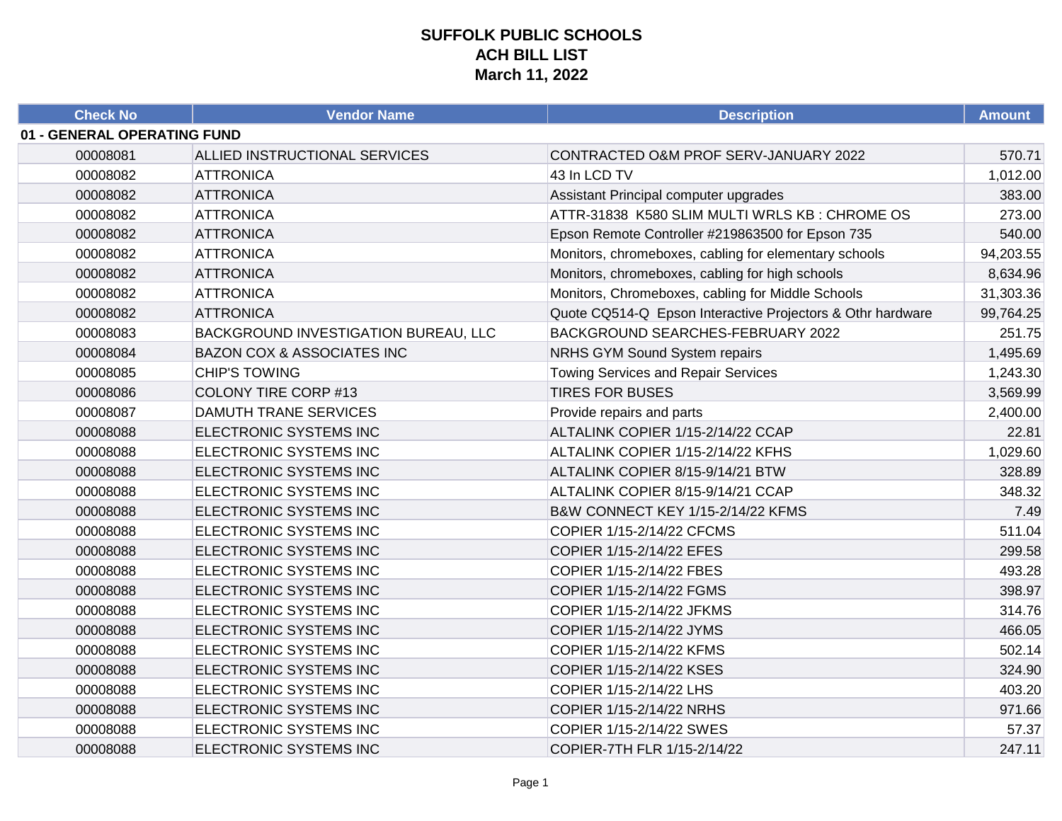| <b>Check No</b>             | <b>Vendor Name</b>                   | <b>Description</b>                                         | <b>Amount</b> |
|-----------------------------|--------------------------------------|------------------------------------------------------------|---------------|
| 01 - GENERAL OPERATING FUND |                                      |                                                            |               |
| 00008081                    | ALLIED INSTRUCTIONAL SERVICES        | CONTRACTED O&M PROF SERV-JANUARY 2022                      | 570.71        |
| 00008082                    | <b>ATTRONICA</b>                     | 43 In LCD TV                                               | 1,012.00      |
| 00008082                    | <b>ATTRONICA</b>                     | Assistant Principal computer upgrades                      | 383.00        |
| 00008082                    | <b>ATTRONICA</b>                     | ATTR-31838 K580 SLIM MULTI WRLS KB: CHROME OS              | 273.00        |
| 00008082                    | <b>ATTRONICA</b>                     | Epson Remote Controller #219863500 for Epson 735           | 540.00        |
| 00008082                    | <b>ATTRONICA</b>                     | Monitors, chromeboxes, cabling for elementary schools      | 94,203.55     |
| 00008082                    | <b>ATTRONICA</b>                     | Monitors, chromeboxes, cabling for high schools            | 8,634.96      |
| 00008082                    | <b>ATTRONICA</b>                     | Monitors, Chromeboxes, cabling for Middle Schools          | 31,303.36     |
| 00008082                    | <b>ATTRONICA</b>                     | Quote CQ514-Q Epson Interactive Projectors & Othr hardware | 99,764.25     |
| 00008083                    | BACKGROUND INVESTIGATION BUREAU, LLC | BACKGROUND SEARCHES-FEBRUARY 2022                          | 251.75        |
| 00008084                    | BAZON COX & ASSOCIATES INC           | <b>NRHS GYM Sound System repairs</b>                       | 1,495.69      |
| 00008085                    | <b>CHIP'S TOWING</b>                 | <b>Towing Services and Repair Services</b>                 | 1,243.30      |
| 00008086                    | <b>COLONY TIRE CORP #13</b>          | <b>TIRES FOR BUSES</b>                                     | 3,569.99      |
| 00008087                    | <b>DAMUTH TRANE SERVICES</b>         | Provide repairs and parts                                  | 2,400.00      |
| 00008088                    | ELECTRONIC SYSTEMS INC               | ALTALINK COPIER 1/15-2/14/22 CCAP                          | 22.81         |
| 00008088                    | ELECTRONIC SYSTEMS INC               | ALTALINK COPIER 1/15-2/14/22 KFHS                          | 1,029.60      |
| 00008088                    | ELECTRONIC SYSTEMS INC               | ALTALINK COPIER 8/15-9/14/21 BTW                           | 328.89        |
| 00008088                    | ELECTRONIC SYSTEMS INC               | ALTALINK COPIER 8/15-9/14/21 CCAP                          | 348.32        |
| 00008088                    | ELECTRONIC SYSTEMS INC               | B&W CONNECT KEY 1/15-2/14/22 KFMS                          | 7.49          |
| 00008088                    | ELECTRONIC SYSTEMS INC               | COPIER 1/15-2/14/22 CFCMS                                  | 511.04        |
| 00008088                    | ELECTRONIC SYSTEMS INC               | COPIER 1/15-2/14/22 EFES                                   | 299.58        |
| 00008088                    | ELECTRONIC SYSTEMS INC               | COPIER 1/15-2/14/22 FBES                                   | 493.28        |
| 00008088                    | ELECTRONIC SYSTEMS INC               | COPIER 1/15-2/14/22 FGMS                                   | 398.97        |
| 00008088                    | ELECTRONIC SYSTEMS INC               | COPIER 1/15-2/14/22 JFKMS                                  | 314.76        |
| 00008088                    | ELECTRONIC SYSTEMS INC               | COPIER 1/15-2/14/22 JYMS                                   | 466.05        |
| 00008088                    | ELECTRONIC SYSTEMS INC               | COPIER 1/15-2/14/22 KFMS                                   | 502.14        |
| 00008088                    | ELECTRONIC SYSTEMS INC               | COPIER 1/15-2/14/22 KSES                                   | 324.90        |
| 00008088                    | ELECTRONIC SYSTEMS INC               | COPIER 1/15-2/14/22 LHS                                    | 403.20        |
| 00008088                    | ELECTRONIC SYSTEMS INC               | COPIER 1/15-2/14/22 NRHS                                   | 971.66        |
| 00008088                    | ELECTRONIC SYSTEMS INC               | COPIER 1/15-2/14/22 SWES                                   | 57.37         |
| 00008088                    | ELECTRONIC SYSTEMS INC               | COPIER-7TH FLR 1/15-2/14/22                                | 247.11        |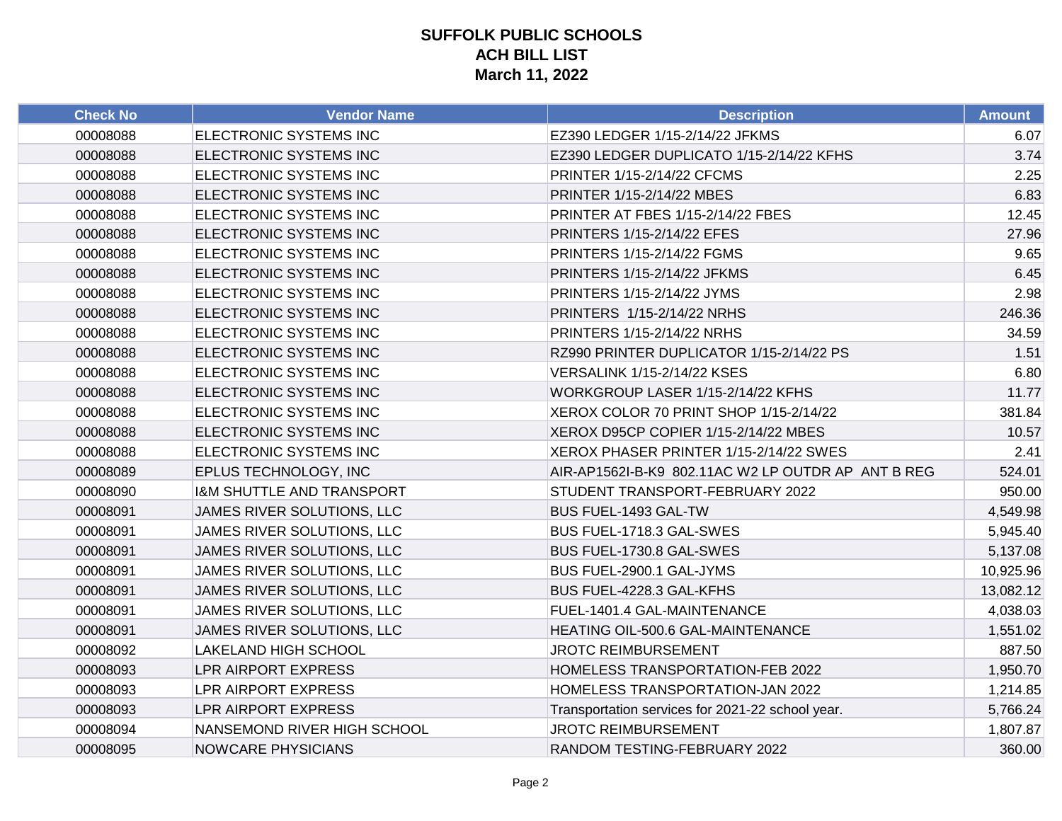| <b>Check No</b> | <b>Vendor Name</b>                   | <b>Description</b>                                 | <b>Amount</b> |
|-----------------|--------------------------------------|----------------------------------------------------|---------------|
| 00008088        | ELECTRONIC SYSTEMS INC               | EZ390 LEDGER 1/15-2/14/22 JFKMS                    | 6.07          |
| 00008088        | ELECTRONIC SYSTEMS INC               | EZ390 LEDGER DUPLICATO 1/15-2/14/22 KFHS           | 3.74          |
| 00008088        | ELECTRONIC SYSTEMS INC               | PRINTER 1/15-2/14/22 CFCMS                         | 2.25          |
| 00008088        | ELECTRONIC SYSTEMS INC               | PRINTER 1/15-2/14/22 MBES                          | 6.83          |
| 00008088        | ELECTRONIC SYSTEMS INC               | PRINTER AT FBES 1/15-2/14/22 FBES                  | 12.45         |
| 00008088        | ELECTRONIC SYSTEMS INC               | PRINTERS 1/15-2/14/22 EFES                         | 27.96         |
| 00008088        | ELECTRONIC SYSTEMS INC               | PRINTERS 1/15-2/14/22 FGMS                         | 9.65          |
| 00008088        | ELECTRONIC SYSTEMS INC               | PRINTERS 1/15-2/14/22 JFKMS                        | 6.45          |
| 00008088        | ELECTRONIC SYSTEMS INC               | PRINTERS 1/15-2/14/22 JYMS                         | 2.98          |
| 00008088        | ELECTRONIC SYSTEMS INC               | PRINTERS 1/15-2/14/22 NRHS                         | 246.36        |
| 00008088        | ELECTRONIC SYSTEMS INC               | PRINTERS 1/15-2/14/22 NRHS                         | 34.59         |
| 00008088        | ELECTRONIC SYSTEMS INC               | RZ990 PRINTER DUPLICATOR 1/15-2/14/22 PS           | 1.51          |
| 00008088        | ELECTRONIC SYSTEMS INC               | VERSALINK 1/15-2/14/22 KSES                        | 6.80          |
| 00008088        | ELECTRONIC SYSTEMS INC               | WORKGROUP LASER 1/15-2/14/22 KFHS                  | 11.77         |
| 00008088        | ELECTRONIC SYSTEMS INC               | XEROX COLOR 70 PRINT SHOP 1/15-2/14/22             | 381.84        |
| 00008088        | ELECTRONIC SYSTEMS INC               | XEROX D95CP COPIER 1/15-2/14/22 MBES               | 10.57         |
| 00008088        | ELECTRONIC SYSTEMS INC               | XEROX PHASER PRINTER 1/15-2/14/22 SWES             | 2.41          |
| 00008089        | EPLUS TECHNOLOGY, INC                | AIR-AP1562I-B-K9 802.11AC W2 LP OUTDR AP ANT B REG | 524.01        |
| 00008090        | <b>I&amp;M SHUTTLE AND TRANSPORT</b> | STUDENT TRANSPORT-FEBRUARY 2022                    | 950.00        |
| 00008091        | JAMES RIVER SOLUTIONS, LLC           | BUS FUEL-1493 GAL-TW                               | 4,549.98      |
| 00008091        | JAMES RIVER SOLUTIONS, LLC           | BUS FUEL-1718.3 GAL-SWES                           | 5,945.40      |
| 00008091        | JAMES RIVER SOLUTIONS, LLC           | BUS FUEL-1730.8 GAL-SWES                           | 5,137.08      |
| 00008091        | JAMES RIVER SOLUTIONS, LLC           | BUS FUEL-2900.1 GAL-JYMS                           | 10,925.96     |
| 00008091        | JAMES RIVER SOLUTIONS, LLC           | BUS FUEL-4228.3 GAL-KFHS                           | 13,082.12     |
| 00008091        | JAMES RIVER SOLUTIONS, LLC           | FUEL-1401.4 GAL-MAINTENANCE                        | 4,038.03      |
| 00008091        | JAMES RIVER SOLUTIONS, LLC           | HEATING OIL-500.6 GAL-MAINTENANCE                  | 1,551.02      |
| 00008092        | LAKELAND HIGH SCHOOL                 | <b>JROTC REIMBURSEMENT</b>                         | 887.50        |
| 00008093        | LPR AIRPORT EXPRESS                  | HOMELESS TRANSPORTATION-FEB 2022                   | 1,950.70      |
| 00008093        | LPR AIRPORT EXPRESS                  | HOMELESS TRANSPORTATION-JAN 2022                   | 1,214.85      |
| 00008093        | <b>LPR AIRPORT EXPRESS</b>           | Transportation services for 2021-22 school year.   | 5,766.24      |
| 00008094        | NANSEMOND RIVER HIGH SCHOOL          | <b>JROTC REIMBURSEMENT</b>                         | 1,807.87      |
| 00008095        | <b>NOWCARE PHYSICIANS</b>            | RANDOM TESTING-FEBRUARY 2022                       | 360.00        |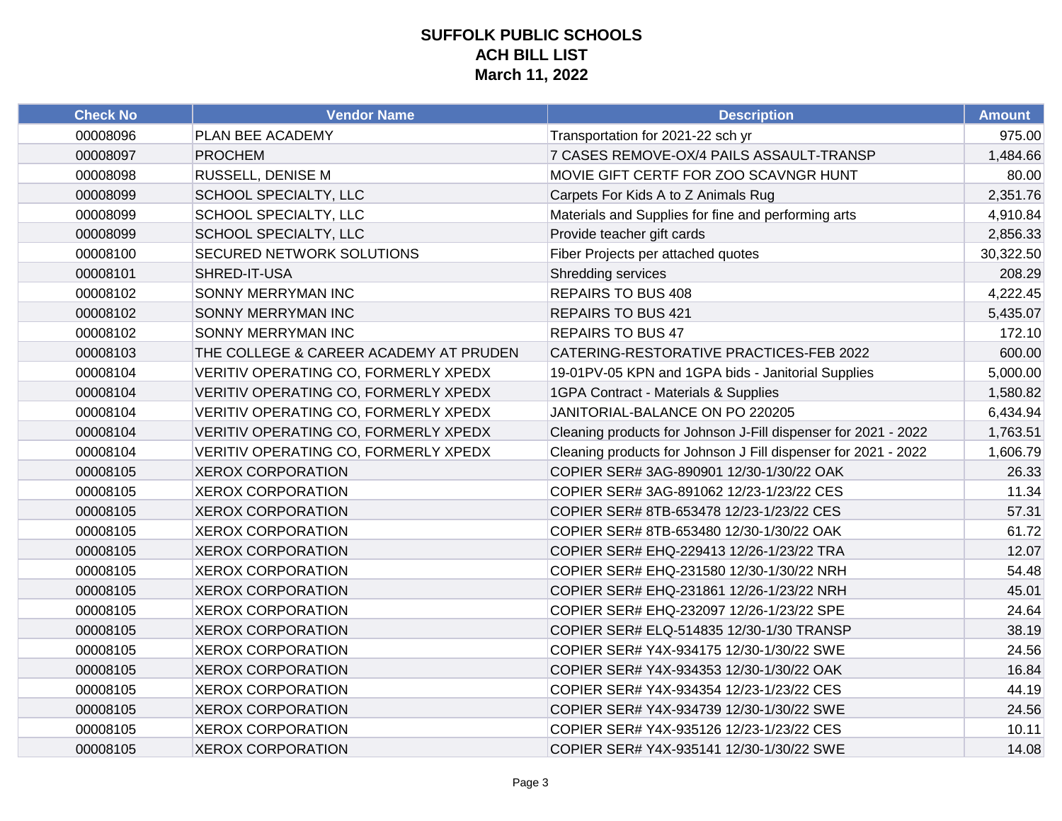| <b>Check No</b> | <b>Vendor Name</b>                     | <b>Description</b>                                             | <b>Amount</b> |
|-----------------|----------------------------------------|----------------------------------------------------------------|---------------|
| 00008096        | PLAN BEE ACADEMY                       | Transportation for 2021-22 sch yr                              | 975.00        |
| 00008097        | <b>PROCHEM</b>                         | 7 CASES REMOVE-OX/4 PAILS ASSAULT-TRANSP                       | 1,484.66      |
| 00008098        | RUSSELL, DENISE M                      | MOVIE GIFT CERTF FOR ZOO SCAVNGR HUNT                          | 80.00         |
| 00008099        | <b>SCHOOL SPECIALTY, LLC</b>           | Carpets For Kids A to Z Animals Rug                            | 2,351.76      |
| 00008099        | SCHOOL SPECIALTY, LLC                  | Materials and Supplies for fine and performing arts            | 4,910.84      |
| 00008099        | <b>SCHOOL SPECIALTY, LLC</b>           | Provide teacher gift cards                                     | 2,856.33      |
| 00008100        | <b>SECURED NETWORK SOLUTIONS</b>       | Fiber Projects per attached quotes                             | 30,322.50     |
| 00008101        | SHRED-IT-USA                           | <b>Shredding services</b>                                      | 208.29        |
| 00008102        | SONNY MERRYMAN INC                     | <b>REPAIRS TO BUS 408</b>                                      | 4,222.45      |
| 00008102        | <b>SONNY MERRYMAN INC</b>              | REPAIRS TO BUS 421                                             | 5,435.07      |
| 00008102        | SONNY MERRYMAN INC                     | <b>REPAIRS TO BUS 47</b>                                       | 172.10        |
| 00008103        | THE COLLEGE & CAREER ACADEMY AT PRUDEN | CATERING-RESTORATIVE PRACTICES-FEB 2022                        | 600.00        |
| 00008104        | VERITIV OPERATING CO, FORMERLY XPEDX   | 19-01PV-05 KPN and 1GPA bids - Janitorial Supplies             | 5,000.00      |
| 00008104        | VERITIV OPERATING CO, FORMERLY XPEDX   | 1GPA Contract - Materials & Supplies                           | 1,580.82      |
| 00008104        | VERITIV OPERATING CO, FORMERLY XPEDX   | JANITORIAL-BALANCE ON PO 220205                                | 6,434.94      |
| 00008104        | VERITIV OPERATING CO, FORMERLY XPEDX   | Cleaning products for Johnson J-Fill dispenser for 2021 - 2022 | 1,763.51      |
| 00008104        | VERITIV OPERATING CO, FORMERLY XPEDX   | Cleaning products for Johnson J Fill dispenser for 2021 - 2022 | 1,606.79      |
| 00008105        | <b>XEROX CORPORATION</b>               | COPIER SER# 3AG-890901 12/30-1/30/22 OAK                       | 26.33         |
| 00008105        | <b>XEROX CORPORATION</b>               | COPIER SER# 3AG-891062 12/23-1/23/22 CES                       | 11.34         |
| 00008105        | <b>XEROX CORPORATION</b>               | COPIER SER# 8TB-653478 12/23-1/23/22 CES                       | 57.31         |
| 00008105        | <b>XEROX CORPORATION</b>               | COPIER SER# 8TB-653480 12/30-1/30/22 OAK                       | 61.72         |
| 00008105        | <b>XEROX CORPORATION</b>               | COPIER SER# EHQ-229413 12/26-1/23/22 TRA                       | 12.07         |
| 00008105        | <b>XEROX CORPORATION</b>               | COPIER SER# EHQ-231580 12/30-1/30/22 NRH                       | 54.48         |
| 00008105        | <b>XEROX CORPORATION</b>               | COPIER SER# EHQ-231861 12/26-1/23/22 NRH                       | 45.01         |
| 00008105        | <b>XEROX CORPORATION</b>               | COPIER SER# EHQ-232097 12/26-1/23/22 SPE                       | 24.64         |
| 00008105        | <b>XEROX CORPORATION</b>               | COPIER SER# ELQ-514835 12/30-1/30 TRANSP                       | 38.19         |
| 00008105        | <b>XEROX CORPORATION</b>               | COPIER SER# Y4X-934175 12/30-1/30/22 SWE                       | 24.56         |
| 00008105        | <b>XEROX CORPORATION</b>               | COPIER SER# Y4X-934353 12/30-1/30/22 OAK                       | 16.84         |
| 00008105        | <b>XEROX CORPORATION</b>               | COPIER SER# Y4X-934354 12/23-1/23/22 CES                       | 44.19         |
| 00008105        | <b>XEROX CORPORATION</b>               | COPIER SER# Y4X-934739 12/30-1/30/22 SWE                       | 24.56         |
| 00008105        | <b>XEROX CORPORATION</b>               | COPIER SER# Y4X-935126 12/23-1/23/22 CES                       | 10.11         |
| 00008105        | <b>XEROX CORPORATION</b>               | COPIER SER# Y4X-935141 12/30-1/30/22 SWE                       | 14.08         |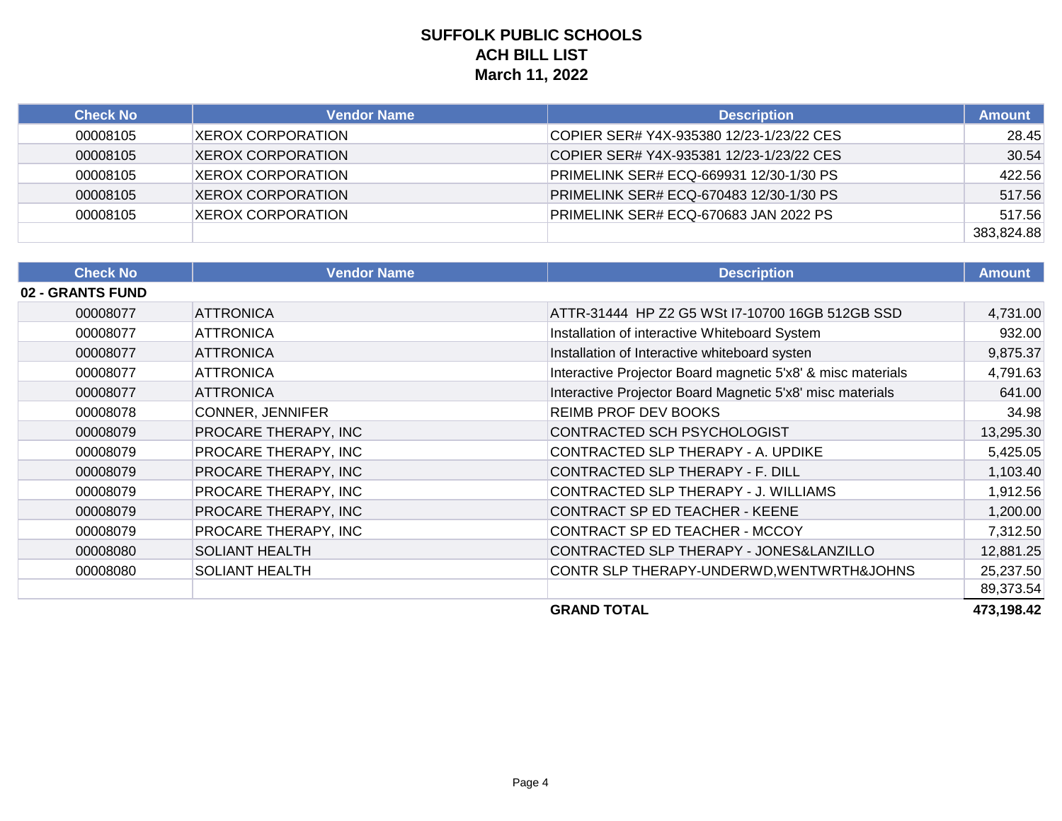| <b>Check No</b> | Vendor Name               | <b>Description</b>                       | <b>Amount</b> |
|-----------------|---------------------------|------------------------------------------|---------------|
| 00008105        | XEROX CORPORATION         | COPIER SER# Y4X-935380 12/23-1/23/22 CES | 28.45         |
| 00008105        | <b>XEROX CORPORATION</b>  | COPIER SER# Y4X-935381 12/23-1/23/22 CES | 30.54         |
| 00008105        | <b>IXEROX CORPORATION</b> | PRIMELINK SER# ECQ-669931 12/30-1/30 PS  | 422.56        |
| 00008105        | <b>XEROX CORPORATION</b>  | PRIMELINK SER# ECQ-670483 12/30-1/30 PS  | 517.56        |
| 00008105        | <b>XEROX CORPORATION</b>  | PRIMELINK SER# ECQ-670683 JAN 2022 PS    | 517.56        |
|                 |                           |                                          | 383,824.88    |

| <b>Check No</b>  | <b>Vendor Name</b>      | <b>Description</b>                                          | <b>Amount</b> |
|------------------|-------------------------|-------------------------------------------------------------|---------------|
| 02 - GRANTS FUND |                         |                                                             |               |
| 00008077         | <b>ATTRONICA</b>        | ATTR-31444 HP Z2 G5 WSt I7-10700 16GB 512GB SSD             | 4,731.00      |
| 00008077         | <b>ATTRONICA</b>        | Installation of interactive Whiteboard System               | 932.00        |
| 00008077         | <b>ATTRONICA</b>        | Installation of Interactive whiteboard systen               | 9,875.37      |
| 00008077         | <b>ATTRONICA</b>        | Interactive Projector Board magnetic 5'x8' & misc materials | 4,791.63      |
| 00008077         | <b>ATTRONICA</b>        | Interactive Projector Board Magnetic 5'x8' misc materials   | 641.00        |
| 00008078         | <b>CONNER, JENNIFER</b> | <b>REIMB PROF DEV BOOKS</b>                                 | 34.98         |
| 00008079         | PROCARE THERAPY, INC    | CONTRACTED SCH PSYCHOLOGIST                                 | 13,295.30     |
| 00008079         | PROCARE THERAPY, INC    | CONTRACTED SLP THERAPY - A. UPDIKE                          | 5,425.05      |
| 00008079         | PROCARE THERAPY, INC    | CONTRACTED SLP THERAPY - F. DILL                            | 1,103.40      |
| 00008079         | PROCARE THERAPY, INC    | CONTRACTED SLP THERAPY - J. WILLIAMS                        | 1,912.56      |
| 00008079         | PROCARE THERAPY, INC    | CONTRACT SP ED TEACHER - KEENE                              | 1,200.00      |
| 00008079         | PROCARE THERAPY, INC    | CONTRACT SP ED TEACHER - MCCOY                              | 7,312.50      |
| 00008080         | <b>SOLIANT HEALTH</b>   | CONTRACTED SLP THERAPY - JONES&LANZILLO                     | 12,881.25     |
| 00008080         | <b>SOLIANT HEALTH</b>   | CONTR SLP THERAPY-UNDERWD, WENTWRTH&JOHNS                   | 25,237.50     |
|                  |                         |                                                             | 89,373.54     |
|                  |                         | <b>GRAND TOTAL</b>                                          | 473,198.42    |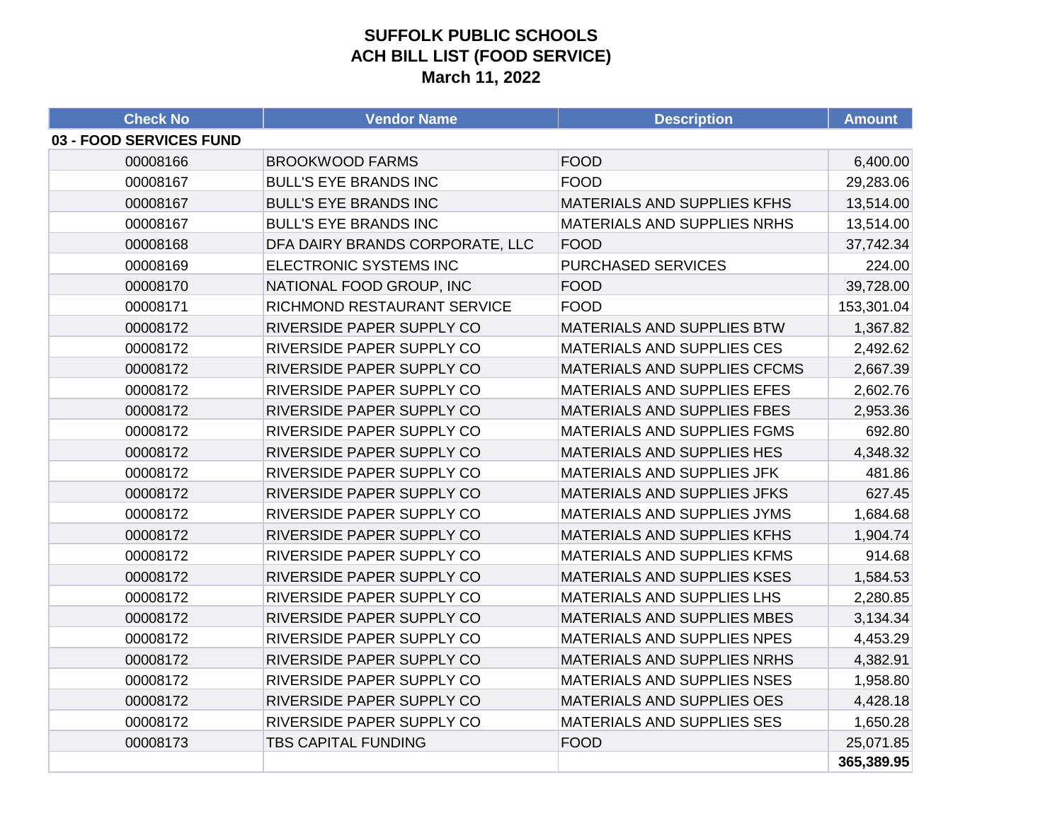### **SUFFOLK PUBLIC SCHOOLS ACH BILL LIST (FOOD SERVICE) March 11, 2022**

| <b>Check No</b>         | <b>Vendor Name</b>               | <b>Description</b>                 | <b>Amount</b> |
|-------------------------|----------------------------------|------------------------------------|---------------|
| 03 - FOOD SERVICES FUND |                                  |                                    |               |
| 00008166                | <b>BROOKWOOD FARMS</b>           | <b>FOOD</b>                        | 6,400.00      |
| 00008167                | <b>BULL'S EYE BRANDS INC</b>     | <b>FOOD</b>                        | 29,283.06     |
| 00008167                | <b>BULL'S EYE BRANDS INC</b>     | MATERIALS AND SUPPLIES KFHS        | 13,514.00     |
| 00008167                | <b>BULL'S EYE BRANDS INC</b>     | MATERIALS AND SUPPLIES NRHS        | 13,514.00     |
| 00008168                | DFA DAIRY BRANDS CORPORATE, LLC  | <b>FOOD</b>                        | 37,742.34     |
| 00008169                | ELECTRONIC SYSTEMS INC           | <b>PURCHASED SERVICES</b>          | 224.00        |
| 00008170                | NATIONAL FOOD GROUP, INC         | <b>FOOD</b>                        | 39,728.00     |
| 00008171                | RICHMOND RESTAURANT SERVICE      | <b>FOOD</b>                        | 153,301.04    |
| 00008172                | RIVERSIDE PAPER SUPPLY CO        | MATERIALS AND SUPPLIES BTW         | 1,367.82      |
| 00008172                | RIVERSIDE PAPER SUPPLY CO        | MATERIALS AND SUPPLIES CES         | 2,492.62      |
| 00008172                | RIVERSIDE PAPER SUPPLY CO        | MATERIALS AND SUPPLIES CFCMS       | 2,667.39      |
| 00008172                | RIVERSIDE PAPER SUPPLY CO        | MATERIALS AND SUPPLIES EFES        | 2,602.76      |
| 00008172                | RIVERSIDE PAPER SUPPLY CO        | MATERIALS AND SUPPLIES FBES        | 2,953.36      |
| 00008172                | RIVERSIDE PAPER SUPPLY CO        | <b>MATERIALS AND SUPPLIES FGMS</b> | 692.80        |
| 00008172                | RIVERSIDE PAPER SUPPLY CO        | MATERIALS AND SUPPLIES HES         | 4,348.32      |
| 00008172                | RIVERSIDE PAPER SUPPLY CO        | MATERIALS AND SUPPLIES JFK         | 481.86        |
| 00008172                | RIVERSIDE PAPER SUPPLY CO        | MATERIALS AND SUPPLIES JFKS        | 627.45        |
| 00008172                | RIVERSIDE PAPER SUPPLY CO        | MATERIALS AND SUPPLIES JYMS        | 1,684.68      |
| 00008172                | RIVERSIDE PAPER SUPPLY CO        | MATERIALS AND SUPPLIES KFHS        | 1,904.74      |
| 00008172                | RIVERSIDE PAPER SUPPLY CO        | MATERIALS AND SUPPLIES KFMS        | 914.68        |
| 00008172                | RIVERSIDE PAPER SUPPLY CO        | MATERIALS AND SUPPLIES KSES        | 1,584.53      |
| 00008172                | <b>RIVERSIDE PAPER SUPPLY CO</b> | MATERIALS AND SUPPLIES LHS         | 2,280.85      |
| 00008172                | RIVERSIDE PAPER SUPPLY CO        | MATERIALS AND SUPPLIES MBES        | 3,134.34      |
| 00008172                | RIVERSIDE PAPER SUPPLY CO        | MATERIALS AND SUPPLIES NPES        | 4,453.29      |
| 00008172                | RIVERSIDE PAPER SUPPLY CO        | MATERIALS AND SUPPLIES NRHS        | 4,382.91      |
| 00008172                | <b>RIVERSIDE PAPER SUPPLY CO</b> | <b>MATERIALS AND SUPPLIES NSES</b> | 1,958.80      |
| 00008172                | RIVERSIDE PAPER SUPPLY CO        | MATERIALS AND SUPPLIES OES         | 4,428.18      |
| 00008172                | RIVERSIDE PAPER SUPPLY CO        | MATERIALS AND SUPPLIES SES         | 1,650.28      |
| 00008173                | <b>TBS CAPITAL FUNDING</b>       | <b>FOOD</b>                        | 25,071.85     |
|                         |                                  |                                    | 365,389.95    |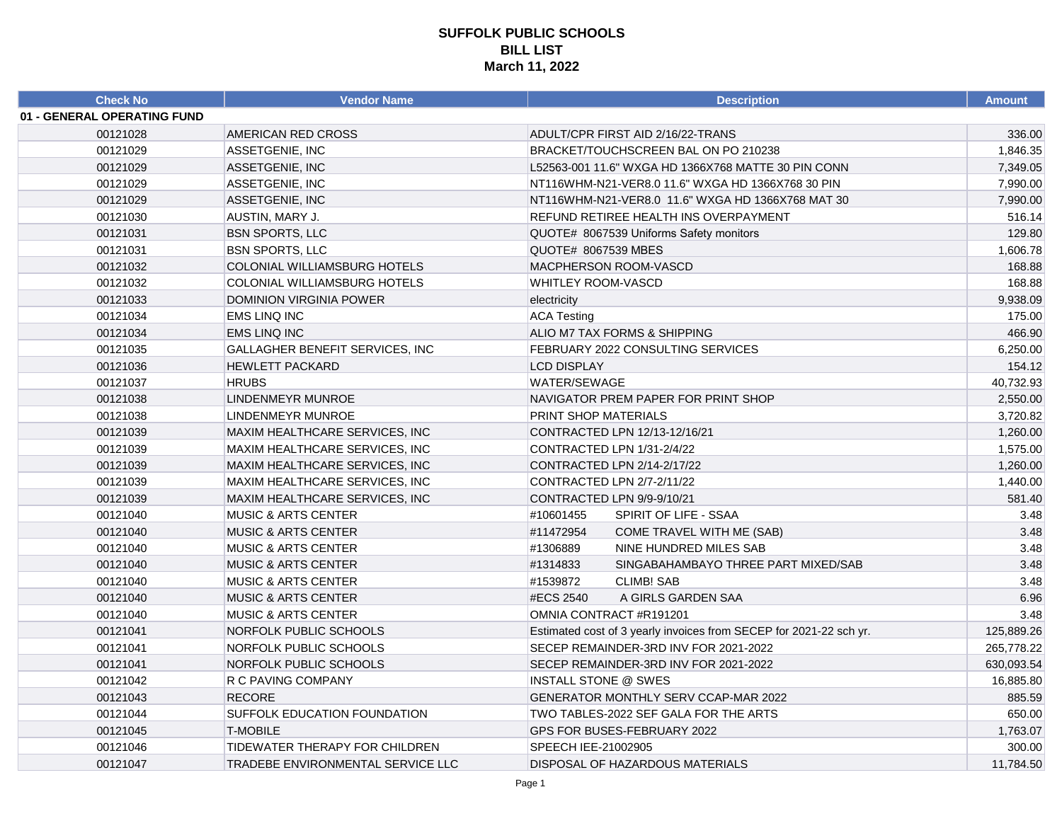| <b>Check No</b>             | Vendor Name                           | <b>Description</b>                                                 | <b>Amount</b> |
|-----------------------------|---------------------------------------|--------------------------------------------------------------------|---------------|
| 01 - GENERAL OPERATING FUND |                                       |                                                                    |               |
| 00121028                    | AMERICAN RED CROSS                    | ADULT/CPR FIRST AID 2/16/22-TRANS                                  | 336.00        |
| 00121029                    | ASSETGENIE, INC                       | BRACKET/TOUCHSCREEN BAL ON PO 210238                               | 1,846.35      |
| 00121029                    | ASSETGENIE, INC                       | L52563-001 11.6" WXGA HD 1366X768 MATTE 30 PIN CONN                | 7,349.05      |
| 00121029                    | ASSETGENIE, INC                       | NT116WHM-N21-VER8.0 11.6" WXGA HD 1366X768 30 PIN                  | 7,990.00      |
| 00121029                    | ASSETGENIE, INC                       | NT116WHM-N21-VER8.0 11.6" WXGA HD 1366X768 MAT 30                  | 7,990.00      |
| 00121030                    | AUSTIN, MARY J.                       | REFUND RETIREE HEALTH INS OVERPAYMENT                              | 516.14        |
| 00121031                    | <b>BSN SPORTS, LLC</b>                | QUOTE# 8067539 Uniforms Safety monitors                            | 129.80        |
| 00121031                    | <b>BSN SPORTS, LLC</b>                | QUOTE# 8067539 MBES                                                | 1,606.78      |
| 00121032                    | <b>COLONIAL WILLIAMSBURG HOTELS</b>   | MACPHERSON ROOM-VASCD                                              | 168.88        |
| 00121032                    | COLONIAL WILLIAMSBURG HOTELS          | <b>WHITLEY ROOM-VASCD</b>                                          | 168.88        |
| 00121033                    | <b>DOMINION VIRGINIA POWER</b>        | electricity                                                        | 9,938.09      |
| 00121034                    | <b>EMS LINQ INC</b>                   | <b>ACA Testing</b>                                                 | 175.00        |
| 00121034                    | <b>EMS LINQ INC</b>                   | ALIO M7 TAX FORMS & SHIPPING                                       | 466.90        |
| 00121035                    | GALLAGHER BENEFIT SERVICES, INC       | FEBRUARY 2022 CONSULTING SERVICES                                  | 6,250.00      |
| 00121036                    | <b>HEWLETT PACKARD</b>                | <b>LCD DISPLAY</b>                                                 | 154.12        |
| 00121037                    | <b>HRUBS</b>                          | WATER/SEWAGE                                                       | 40,732.93     |
| 00121038                    | <b>LINDENMEYR MUNROE</b>              | NAVIGATOR PREM PAPER FOR PRINT SHOP                                | 2,550.00      |
| 00121038                    | <b>LINDENMEYR MUNROE</b>              | PRINT SHOP MATERIALS                                               | 3,720.82      |
| 00121039                    | MAXIM HEALTHCARE SERVICES, INC        | CONTRACTED LPN 12/13-12/16/21                                      | 1,260.00      |
| 00121039                    | MAXIM HEALTHCARE SERVICES, INC        | CONTRACTED LPN 1/31-2/4/22                                         | 1,575.00      |
| 00121039                    | <b>MAXIM HEALTHCARE SERVICES, INC</b> | CONTRACTED LPN 2/14-2/17/22                                        | 1,260.00      |
| 00121039                    | MAXIM HEALTHCARE SERVICES, INC        | CONTRACTED LPN 2/7-2/11/22                                         | 1,440.00      |
| 00121039                    | <b>MAXIM HEALTHCARE SERVICES, INC</b> | CONTRACTED LPN 9/9-9/10/21                                         | 581.40        |
| 00121040                    | <b>MUSIC &amp; ARTS CENTER</b>        | #10601455<br>SPIRIT OF LIFE - SSAA                                 | 3.48          |
| 00121040                    | <b>MUSIC &amp; ARTS CENTER</b>        | #11472954<br>COME TRAVEL WITH ME (SAB)                             | 3.48          |
| 00121040                    | <b>MUSIC &amp; ARTS CENTER</b>        | #1306889<br>NINE HUNDRED MILES SAB                                 | 3.48          |
| 00121040                    | <b>MUSIC &amp; ARTS CENTER</b>        | #1314833<br>SINGABAHAMBAYO THREE PART MIXED/SAB                    | 3.48          |
| 00121040                    | <b>MUSIC &amp; ARTS CENTER</b>        | #1539872<br><b>CLIMB! SAB</b>                                      | 3.48          |
| 00121040                    | <b>MUSIC &amp; ARTS CENTER</b>        | #ECS 2540<br>A GIRLS GARDEN SAA                                    | 6.96          |
| 00121040                    | <b>MUSIC &amp; ARTS CENTER</b>        | OMNIA CONTRACT #R191201                                            | 3.48          |
| 00121041                    | NORFOLK PUBLIC SCHOOLS                | Estimated cost of 3 yearly invoices from SECEP for 2021-22 sch yr. | 125,889.26    |
| 00121041                    | NORFOLK PUBLIC SCHOOLS                | SECEP REMAINDER-3RD INV FOR 2021-2022                              | 265,778.22    |
| 00121041                    | NORFOLK PUBLIC SCHOOLS                | SECEP REMAINDER-3RD INV FOR 2021-2022                              | 630,093.54    |
| 00121042                    | R C PAVING COMPANY                    | <b>INSTALL STONE @ SWES</b>                                        | 16,885.80     |
| 00121043                    | <b>RECORE</b>                         | <b>GENERATOR MONTHLY SERV CCAP-MAR 2022</b>                        | 885.59        |
| 00121044                    | SUFFOLK EDUCATION FOUNDATION          | TWO TABLES-2022 SEF GALA FOR THE ARTS                              | 650.00        |
| 00121045                    | <b>T-MOBILE</b>                       | GPS FOR BUSES-FEBRUARY 2022                                        | 1,763.07      |
| 00121046                    | TIDEWATER THERAPY FOR CHILDREN        | SPEECH IEE-21002905                                                | 300.00        |
| 00121047                    | TRADEBE ENVIRONMENTAL SERVICE LLC     | DISPOSAL OF HAZARDOUS MATERIALS                                    | 11,784.50     |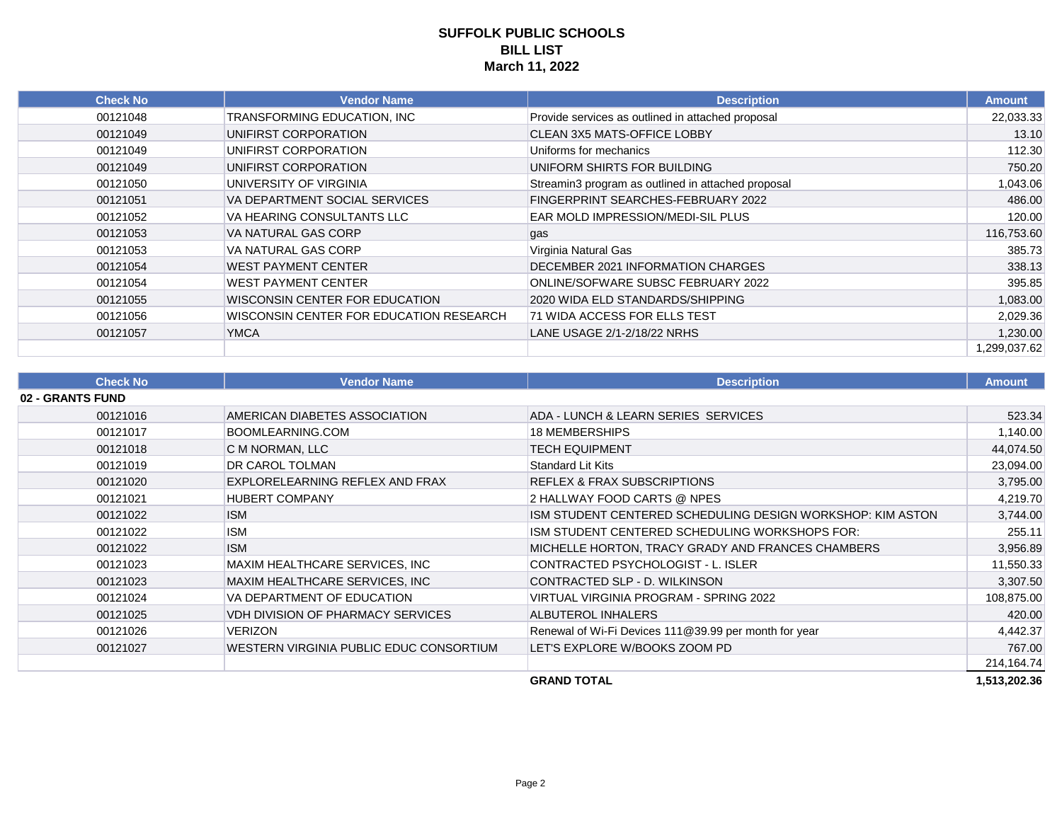| <b>Check No</b> | <b>Vendor Name</b>                      | <b>Description</b>                                 | <b>Amount</b> |
|-----------------|-----------------------------------------|----------------------------------------------------|---------------|
| 00121048        | TRANSFORMING EDUCATION, INC             | Provide services as outlined in attached proposal  | 22,033.33     |
| 00121049        | UNIFIRST CORPORATION                    | <b>CLEAN 3X5 MATS-OFFICE LOBBY</b>                 | 13.10         |
| 00121049        | UNIFIRST CORPORATION                    | Uniforms for mechanics                             | 112.30        |
| 00121049        | UNIFIRST CORPORATION                    | UNIFORM SHIRTS FOR BUILDING                        | 750.20        |
| 00121050        | UNIVERSITY OF VIRGINIA                  | Streamin3 program as outlined in attached proposal | 1,043.06      |
| 00121051        | VA DEPARTMENT SOCIAL SERVICES           | FINGERPRINT SEARCHES-FEBRUARY 2022                 | 486.00        |
| 00121052        | VA HEARING CONSULTANTS LLC              | EAR MOLD IMPRESSION/MEDI-SIL PLUS                  | 120.00        |
| 00121053        | VA NATURAL GAS CORP                     | gas                                                | 116,753.60    |
| 00121053        | VA NATURAL GAS CORP                     | Virginia Natural Gas                               | 385.73        |
| 00121054        | <b>WEST PAYMENT CENTER</b>              | DECEMBER 2021 INFORMATION CHARGES                  | 338.13        |
| 00121054        | <b>WEST PAYMENT CENTER</b>              | ONLINE/SOFWARE SUBSC FEBRUARY 2022                 | 395.85        |
| 00121055        | WISCONSIN CENTER FOR EDUCATION          | 2020 WIDA ELD STANDARDS/SHIPPING                   | 1,083.00      |
| 00121056        | WISCONSIN CENTER FOR EDUCATION RESEARCH | 71 WIDA ACCESS FOR ELLS TEST                       | 2,029.36      |
| 00121057        | <b>YMCA</b>                             | LANE USAGE 2/1-2/18/22 NRHS                        | 1,230.00      |
|                 |                                         |                                                    | 1,299,037.62  |

| <b>Check No</b>  | <b>Vendor Name</b>                      | <b>Description</b>                                         | <b>Amount</b> |
|------------------|-----------------------------------------|------------------------------------------------------------|---------------|
| 02 - GRANTS FUND |                                         |                                                            |               |
| 00121016         | AMERICAN DIABETES ASSOCIATION           | ADA - LUNCH & LEARN SERIES SERVICES                        | 523.34        |
| 00121017         | BOOMLEARNING.COM                        | 18 MEMBERSHIPS                                             | 1,140.00      |
| 00121018         | C M NORMAN, LLC                         | <b>TECH EQUIPMENT</b>                                      | 44,074.50     |
| 00121019         | DR CAROL TOLMAN                         | Standard Lit Kits                                          | 23,094.00     |
| 00121020         | EXPLORELEARNING REFLEX AND FRAX         | <b>REFLEX &amp; FRAX SUBSCRIPTIONS</b>                     | 3,795.00      |
| 00121021         | <b>HUBERT COMPANY</b>                   | 2 HALLWAY FOOD CARTS @ NPES                                | 4,219.70      |
| 00121022         | <b>ISM</b>                              | ISM STUDENT CENTERED SCHEDULING DESIGN WORKSHOP: KIM ASTON | 3,744.00      |
| 00121022         | <b>ISM</b>                              | ISM STUDENT CENTERED SCHEDULING WORKSHOPS FOR:             | 255.11        |
| 00121022         | <b>ISM</b>                              | MICHELLE HORTON, TRACY GRADY AND FRANCES CHAMBERS          | 3,956.89      |
| 00121023         | MAXIM HEALTHCARE SERVICES, INC          | CONTRACTED PSYCHOLOGIST - L. ISLER                         | 11,550.33     |
| 00121023         | MAXIM HEALTHCARE SERVICES, INC          | CONTRACTED SLP - D. WILKINSON                              | 3,307.50      |
| 00121024         | VA DEPARTMENT OF EDUCATION              | VIRTUAL VIRGINIA PROGRAM - SPRING 2022                     | 108,875.00    |
| 00121025         | VDH DIVISION OF PHARMACY SERVICES       | ALBUTEROL INHALERS                                         | 420.00        |
| 00121026         | <b>VERIZON</b>                          | Renewal of Wi-Fi Devices 111@39.99 per month for year      | 4,442.37      |
| 00121027         | WESTERN VIRGINIA PUBLIC EDUC CONSORTIUM | LET'S EXPLORE W/BOOKS ZOOM PD                              | 767.00        |
|                  |                                         |                                                            | 214, 164. 74  |
|                  |                                         | <b>GRAND TOTAL</b>                                         | 1,513,202.36  |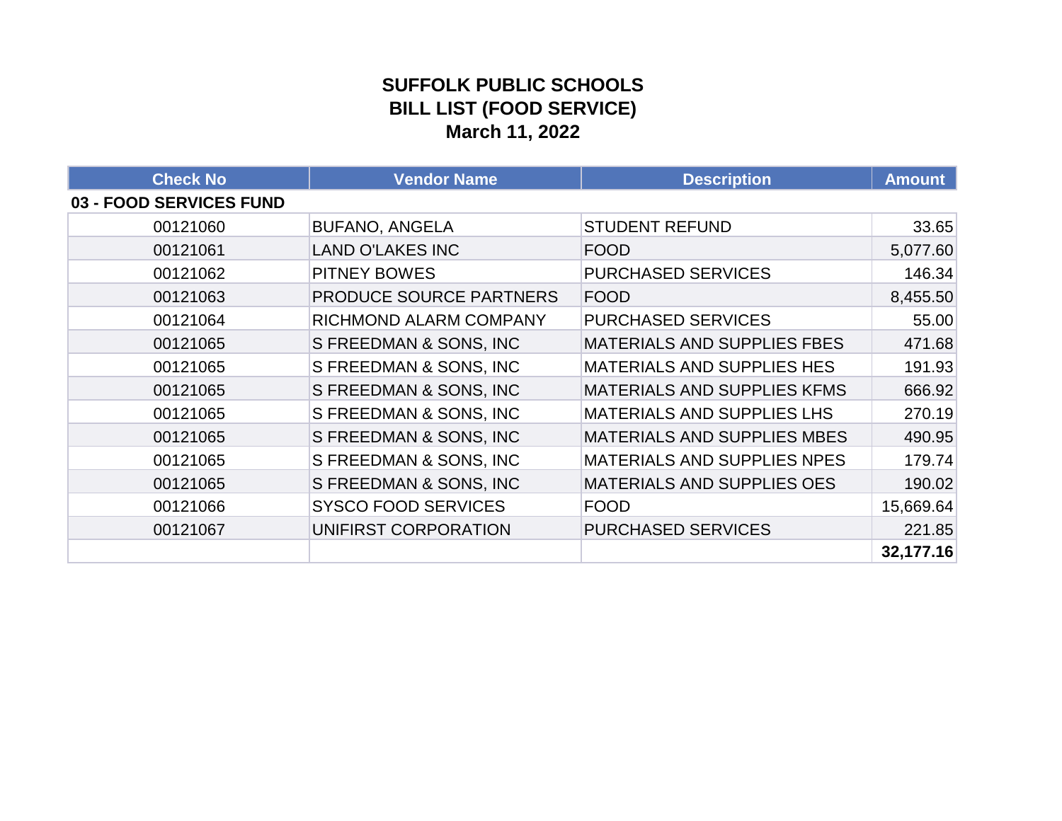### **SUFFOLK PUBLIC SCHOOLS BILL LIST (FOOD SERVICE) March 11, 2022**

| <b>Check No</b>         | <b>Vendor Name</b>         | <b>Description</b>                 | <b>Amount</b> |
|-------------------------|----------------------------|------------------------------------|---------------|
| 03 - FOOD SERVICES FUND |                            |                                    |               |
| 00121060                | <b>BUFANO, ANGELA</b>      | <b>STUDENT REFUND</b>              | 33.65         |
| 00121061                | <b>LAND O'LAKES INC</b>    | <b>FOOD</b>                        | 5,077.60      |
| 00121062                | <b>PITNEY BOWES</b>        | <b>PURCHASED SERVICES</b>          | 146.34        |
| 00121063                | PRODUCE SOURCE PARTNERS    | <b>FOOD</b>                        | 8,455.50      |
| 00121064                | RICHMOND ALARM COMPANY     | <b>PURCHASED SERVICES</b>          | 55.00         |
| 00121065                | S FREEDMAN & SONS, INC     | <b>MATERIALS AND SUPPLIES FBES</b> | 471.68        |
| 00121065                | S FREEDMAN & SONS, INC     | <b>MATERIALS AND SUPPLIES HES</b>  | 191.93        |
| 00121065                | S FREEDMAN & SONS, INC     | <b>MATERIALS AND SUPPLIES KFMS</b> | 666.92        |
| 00121065                | S FREEDMAN & SONS, INC     | <b>MATERIALS AND SUPPLIES LHS</b>  | 270.19        |
| 00121065                | S FREEDMAN & SONS, INC     | <b>MATERIALS AND SUPPLIES MBES</b> | 490.95        |
| 00121065                | S FREEDMAN & SONS, INC     | MATERIALS AND SUPPLIES NPES        | 179.74        |
| 00121065                | S FREEDMAN & SONS, INC     | <b>MATERIALS AND SUPPLIES OES</b>  | 190.02        |
| 00121066                | <b>SYSCO FOOD SERVICES</b> | <b>FOOD</b>                        | 15,669.64     |
| 00121067                | UNIFIRST CORPORATION       | <b>PURCHASED SERVICES</b>          | 221.85        |
|                         |                            |                                    | 32,177.16     |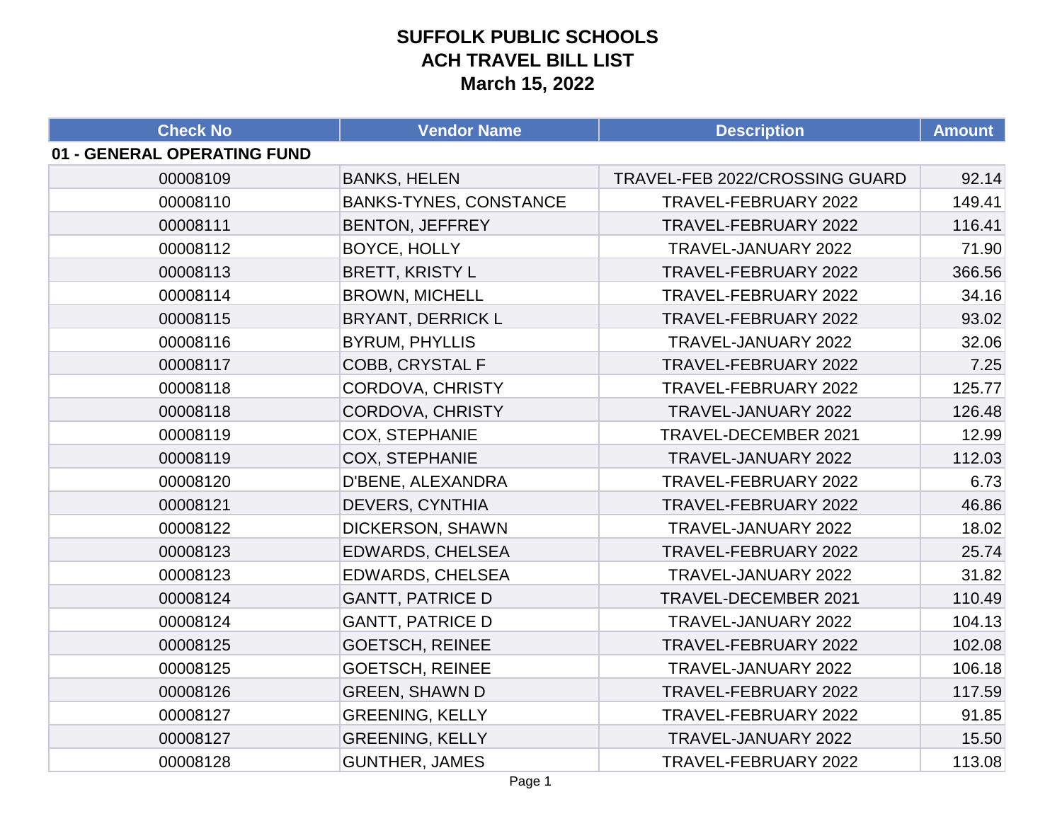| <b>Check No</b>             | <b>Vendor Name</b>            | <b>Description</b>             | <b>Amount</b> |
|-----------------------------|-------------------------------|--------------------------------|---------------|
| 01 - GENERAL OPERATING FUND |                               |                                |               |
| 00008109                    | <b>BANKS, HELEN</b>           | TRAVEL-FEB 2022/CROSSING GUARD | 92.14         |
| 00008110                    | <b>BANKS-TYNES, CONSTANCE</b> | TRAVEL-FEBRUARY 2022           | 149.41        |
| 00008111                    | <b>BENTON, JEFFREY</b>        | TRAVEL-FEBRUARY 2022           | 116.41        |
| 00008112                    | BOYCE, HOLLY                  | TRAVEL-JANUARY 2022            | 71.90         |
| 00008113                    | <b>BRETT, KRISTY L</b>        | TRAVEL-FEBRUARY 2022           | 366.56        |
| 00008114                    | <b>BROWN, MICHELL</b>         | TRAVEL-FEBRUARY 2022           | 34.16         |
| 00008115                    | <b>BRYANT, DERRICK L</b>      | TRAVEL-FEBRUARY 2022           | 93.02         |
| 00008116                    | <b>BYRUM, PHYLLIS</b>         | TRAVEL-JANUARY 2022            | 32.06         |
| 00008117                    | <b>COBB, CRYSTAL F</b>        | TRAVEL-FEBRUARY 2022           | 7.25          |
| 00008118                    | CORDOVA, CHRISTY              | TRAVEL-FEBRUARY 2022           | 125.77        |
| 00008118                    | <b>CORDOVA, CHRISTY</b>       | TRAVEL-JANUARY 2022            | 126.48        |
| 00008119                    | <b>COX, STEPHANIE</b>         | TRAVEL-DECEMBER 2021           | 12.99         |
| 00008119                    | <b>COX, STEPHANIE</b>         | TRAVEL-JANUARY 2022            | 112.03        |
| 00008120                    | D'BENE, ALEXANDRA             | TRAVEL-FEBRUARY 2022           | 6.73          |
| 00008121                    | <b>DEVERS, CYNTHIA</b>        | TRAVEL-FEBRUARY 2022           | 46.86         |
| 00008122                    | DICKERSON, SHAWN              | TRAVEL-JANUARY 2022            | 18.02         |
| 00008123                    | <b>EDWARDS, CHELSEA</b>       | TRAVEL-FEBRUARY 2022           | 25.74         |
| 00008123                    | <b>EDWARDS, CHELSEA</b>       | TRAVEL-JANUARY 2022            | 31.82         |
| 00008124                    | <b>GANTT, PATRICE D</b>       | TRAVEL-DECEMBER 2021           | 110.49        |
| 00008124                    | <b>GANTT, PATRICE D</b>       | TRAVEL-JANUARY 2022            | 104.13        |
| 00008125                    | <b>GOETSCH, REINEE</b>        | TRAVEL-FEBRUARY 2022           | 102.08        |
| 00008125                    | <b>GOETSCH, REINEE</b>        | TRAVEL-JANUARY 2022            | 106.18        |
| 00008126                    | <b>GREEN, SHAWN D</b>         | TRAVEL-FEBRUARY 2022           | 117.59        |
| 00008127                    | <b>GREENING, KELLY</b>        | TRAVEL-FEBRUARY 2022           | 91.85         |
| 00008127                    | <b>GREENING, KELLY</b>        | TRAVEL-JANUARY 2022            | 15.50         |
| 00008128                    | <b>GUNTHER, JAMES</b>         | TRAVEL-FEBRUARY 2022           | 113.08        |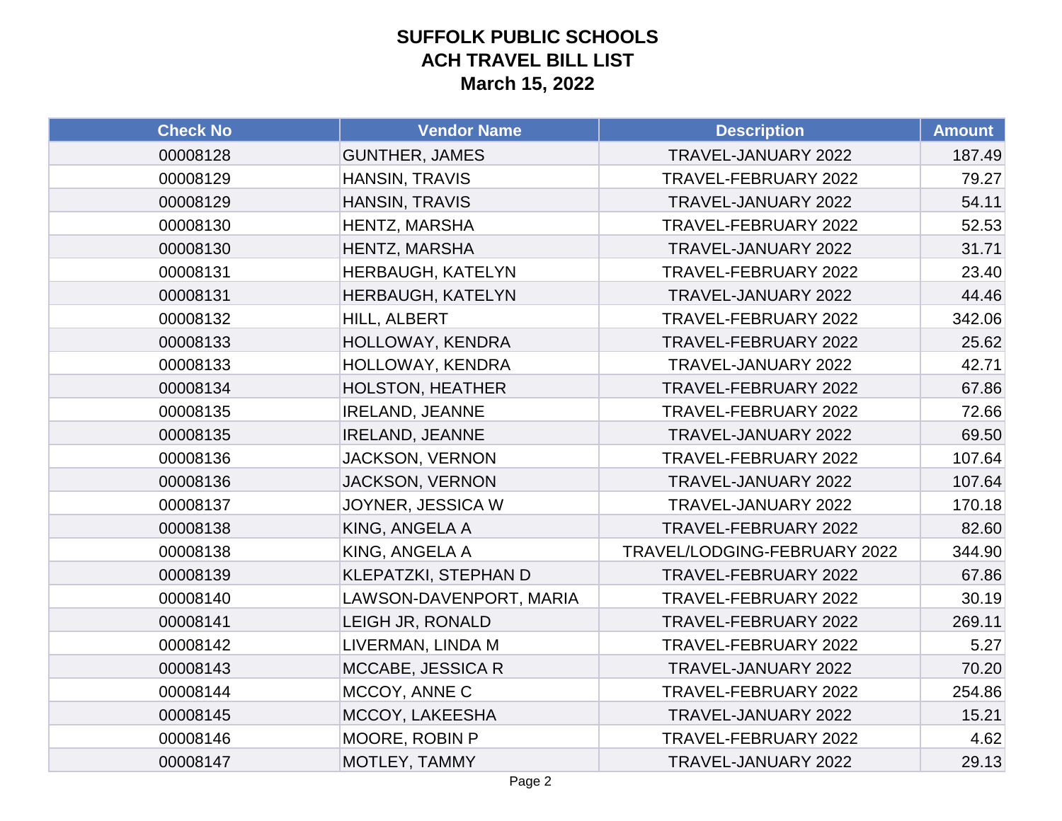| <b>Check No</b> | <b>Vendor Name</b>      | <b>Description</b>           | <b>Amount</b> |
|-----------------|-------------------------|------------------------------|---------------|
| 00008128        | <b>GUNTHER, JAMES</b>   | TRAVEL-JANUARY 2022          | 187.49        |
| 00008129        | <b>HANSIN, TRAVIS</b>   | TRAVEL-FEBRUARY 2022         | 79.27         |
| 00008129        | <b>HANSIN, TRAVIS</b>   | TRAVEL-JANUARY 2022          | 54.11         |
| 00008130        | HENTZ, MARSHA           | TRAVEL-FEBRUARY 2022         | 52.53         |
| 00008130        | HENTZ, MARSHA           | TRAVEL-JANUARY 2022          | 31.71         |
| 00008131        | HERBAUGH, KATELYN       | TRAVEL-FEBRUARY 2022         | 23.40         |
| 00008131        | HERBAUGH, KATELYN       | TRAVEL-JANUARY 2022          | 44.46         |
| 00008132        | HILL, ALBERT            | TRAVEL-FEBRUARY 2022         | 342.06        |
| 00008133        | HOLLOWAY, KENDRA        | TRAVEL-FEBRUARY 2022         | 25.62         |
| 00008133        | HOLLOWAY, KENDRA        | TRAVEL-JANUARY 2022          | 42.71         |
| 00008134        | <b>HOLSTON, HEATHER</b> | TRAVEL-FEBRUARY 2022         | 67.86         |
| 00008135        | <b>IRELAND, JEANNE</b>  | TRAVEL-FEBRUARY 2022         | 72.66         |
| 00008135        | <b>IRELAND, JEANNE</b>  | TRAVEL-JANUARY 2022          | 69.50         |
| 00008136        | <b>JACKSON, VERNON</b>  | TRAVEL-FEBRUARY 2022         | 107.64        |
| 00008136        | <b>JACKSON, VERNON</b>  | TRAVEL-JANUARY 2022          | 107.64        |
| 00008137        | JOYNER, JESSICA W       | TRAVEL-JANUARY 2022          | 170.18        |
| 00008138        | KING, ANGELA A          | TRAVEL-FEBRUARY 2022         | 82.60         |
| 00008138        | KING, ANGELA A          | TRAVEL/LODGING-FEBRUARY 2022 | 344.90        |
| 00008139        | KLEPATZKI, STEPHAN D    | TRAVEL-FEBRUARY 2022         | 67.86         |
| 00008140        | LAWSON-DAVENPORT, MARIA | TRAVEL-FEBRUARY 2022         | 30.19         |
| 00008141        | LEIGH JR, RONALD        | TRAVEL-FEBRUARY 2022         | 269.11        |
| 00008142        | LIVERMAN, LINDA M       | TRAVEL-FEBRUARY 2022         | 5.27          |
| 00008143        | MCCABE, JESSICA R       | TRAVEL-JANUARY 2022          | 70.20         |
| 00008144        | MCCOY, ANNE C           | TRAVEL-FEBRUARY 2022         | 254.86        |
| 00008145        | MCCOY, LAKEESHA         | TRAVEL-JANUARY 2022          | 15.21         |
| 00008146        | MOORE, ROBIN P          | TRAVEL-FEBRUARY 2022         | 4.62          |
| 00008147        | MOTLEY, TAMMY           | TRAVEL-JANUARY 2022          | 29.13         |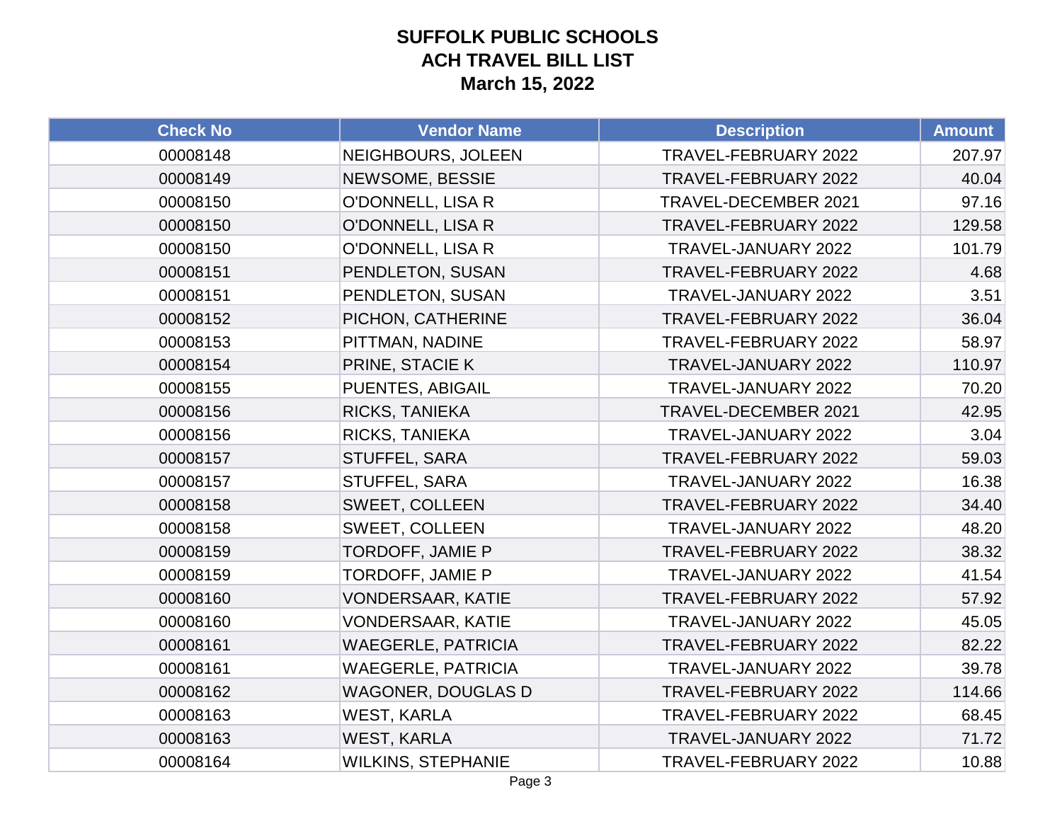| <b>Check No</b> | <b>Vendor Name</b>        | <b>Description</b>   | <b>Amount</b> |
|-----------------|---------------------------|----------------------|---------------|
| 00008148        | NEIGHBOURS, JOLEEN        | TRAVEL-FEBRUARY 2022 | 207.97        |
| 00008149        | NEWSOME, BESSIE           | TRAVEL-FEBRUARY 2022 | 40.04         |
| 00008150        | O'DONNELL, LISA R         | TRAVEL-DECEMBER 2021 | 97.16         |
| 00008150        | O'DONNELL, LISA R         | TRAVEL-FEBRUARY 2022 | 129.58        |
| 00008150        | <b>O'DONNELL, LISA R</b>  | TRAVEL-JANUARY 2022  | 101.79        |
| 00008151        | PENDLETON, SUSAN          | TRAVEL-FEBRUARY 2022 | 4.68          |
| 00008151        | PENDLETON, SUSAN          | TRAVEL-JANUARY 2022  | 3.51          |
| 00008152        | PICHON, CATHERINE         | TRAVEL-FEBRUARY 2022 | 36.04         |
| 00008153        | PITTMAN, NADINE           | TRAVEL-FEBRUARY 2022 | 58.97         |
| 00008154        | PRINE, STACIE K           | TRAVEL-JANUARY 2022  | 110.97        |
| 00008155        | PUENTES, ABIGAIL          | TRAVEL-JANUARY 2022  | 70.20         |
| 00008156        | <b>RICKS, TANIEKA</b>     | TRAVEL-DECEMBER 2021 | 42.95         |
| 00008156        | <b>RICKS, TANIEKA</b>     | TRAVEL-JANUARY 2022  | 3.04          |
| 00008157        | <b>STUFFEL, SARA</b>      | TRAVEL-FEBRUARY 2022 | 59.03         |
| 00008157        | STUFFEL, SARA             | TRAVEL-JANUARY 2022  | 16.38         |
| 00008158        | SWEET, COLLEEN            | TRAVEL-FEBRUARY 2022 | 34.40         |
| 00008158        | <b>SWEET, COLLEEN</b>     | TRAVEL-JANUARY 2022  | 48.20         |
| 00008159        | TORDOFF, JAMIE P          | TRAVEL-FEBRUARY 2022 | 38.32         |
| 00008159        | TORDOFF, JAMIE P          | TRAVEL-JANUARY 2022  | 41.54         |
| 00008160        | <b>VONDERSAAR, KATIE</b>  | TRAVEL-FEBRUARY 2022 | 57.92         |
| 00008160        | <b>VONDERSAAR, KATIE</b>  | TRAVEL-JANUARY 2022  | 45.05         |
| 00008161        | <b>WAEGERLE, PATRICIA</b> | TRAVEL-FEBRUARY 2022 | 82.22         |
| 00008161        | <b>WAEGERLE, PATRICIA</b> | TRAVEL-JANUARY 2022  | 39.78         |
| 00008162        | <b>WAGONER, DOUGLAS D</b> | TRAVEL-FEBRUARY 2022 | 114.66        |
| 00008163        | <b>WEST, KARLA</b>        | TRAVEL-FEBRUARY 2022 | 68.45         |
| 00008163        | <b>WEST, KARLA</b>        | TRAVEL-JANUARY 2022  | 71.72         |
| 00008164        | <b>WILKINS, STEPHANIE</b> | TRAVEL-FEBRUARY 2022 | 10.88         |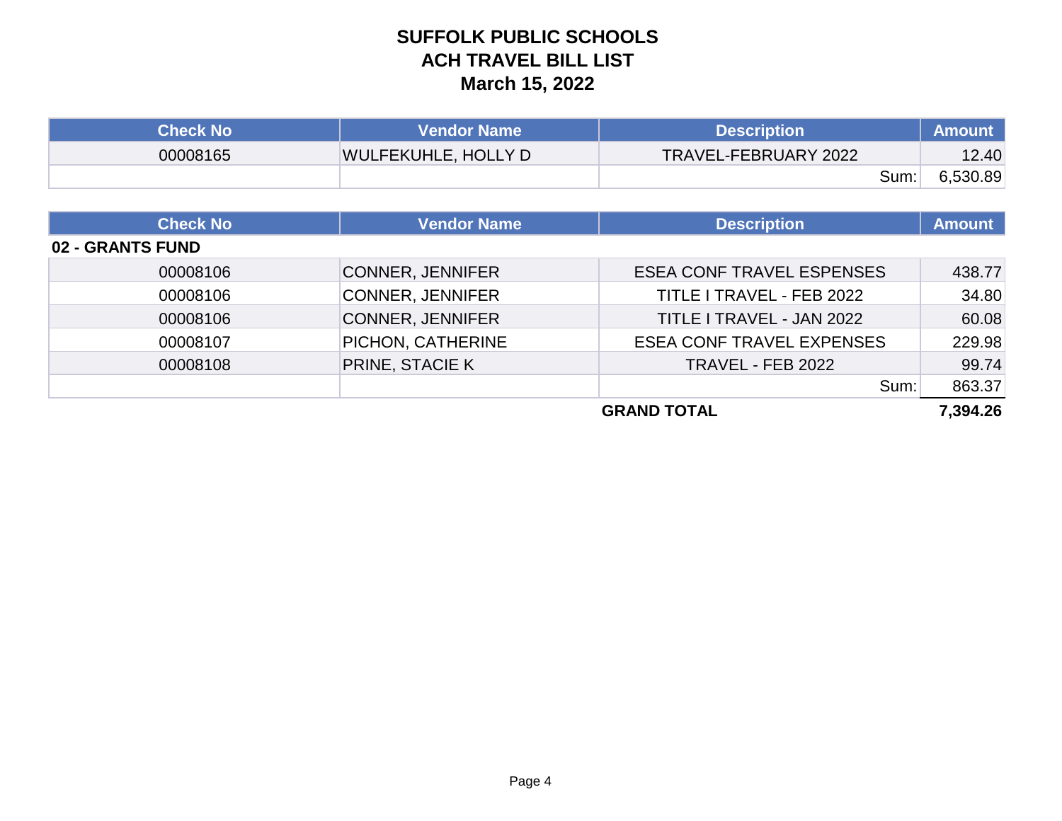| Check No <i>\</i> | <b>Vendor Name</b>         | <b>Description</b>   | <b>Amount</b> |
|-------------------|----------------------------|----------------------|---------------|
| 00008165          | <b>WULFEKUHLE, HOLLY D</b> | TRAVEL-FEBRUARY 2022 | 12.40         |
|                   |                            | Sum:                 | 6,530.89      |

| <b>Check No</b>  | <b>Vendor Name</b>      | <b>Description</b>               | <b>Amount</b> |
|------------------|-------------------------|----------------------------------|---------------|
| 02 - GRANTS FUND |                         |                                  |               |
| 00008106         | <b>CONNER, JENNIFER</b> | <b>ESEA CONF TRAVEL ESPENSES</b> | 438.77        |
| 00008106         | <b>CONNER, JENNIFER</b> | TITLE I TRAVEL - FEB 2022        | 34.80         |
| 00008106         | <b>CONNER, JENNIFER</b> | TITLE I TRAVEL - JAN 2022        | 60.08         |
| 00008107         | PICHON, CATHERINE       | <b>ESEA CONF TRAVEL EXPENSES</b> | 229.98        |
| 00008108         | <b>PRINE, STACIE K</b>  | TRAVEL - FEB 2022                | 99.74         |
|                  |                         | Sum:                             | 863.37        |
|                  |                         | <b>GRAND TOTAL</b>               | 7,394.26      |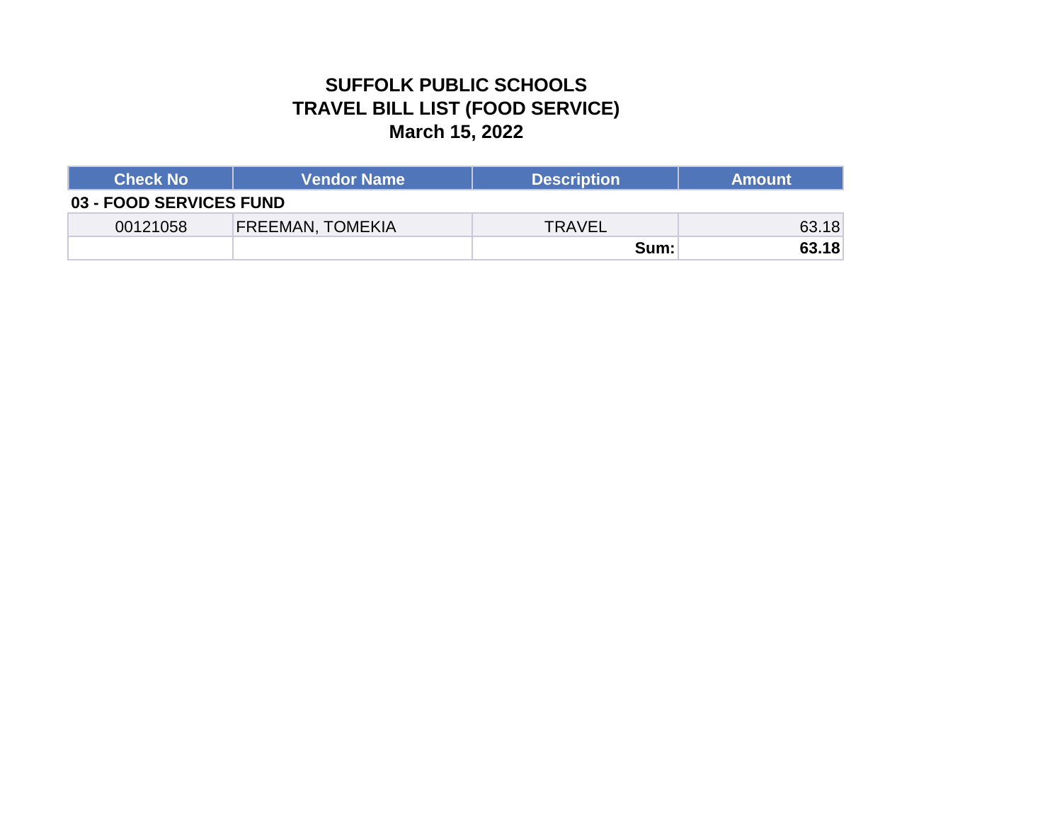### **SUFFOLK PUBLIC SCHOOLS TRAVEL BILL LIST (FOOD SERVICE) March 15, 2022**

| <b>Check No</b>         | <b>Vendor Name</b>      | <b>Description</b> | <b>Amount</b> |
|-------------------------|-------------------------|--------------------|---------------|
| 03 - FOOD SERVICES FUND |                         |                    |               |
| 00121058                | <b>FREEMAN, TOMEKIA</b> | TRAVEL             | 63.18         |
|                         |                         | Sum:               | 63.18         |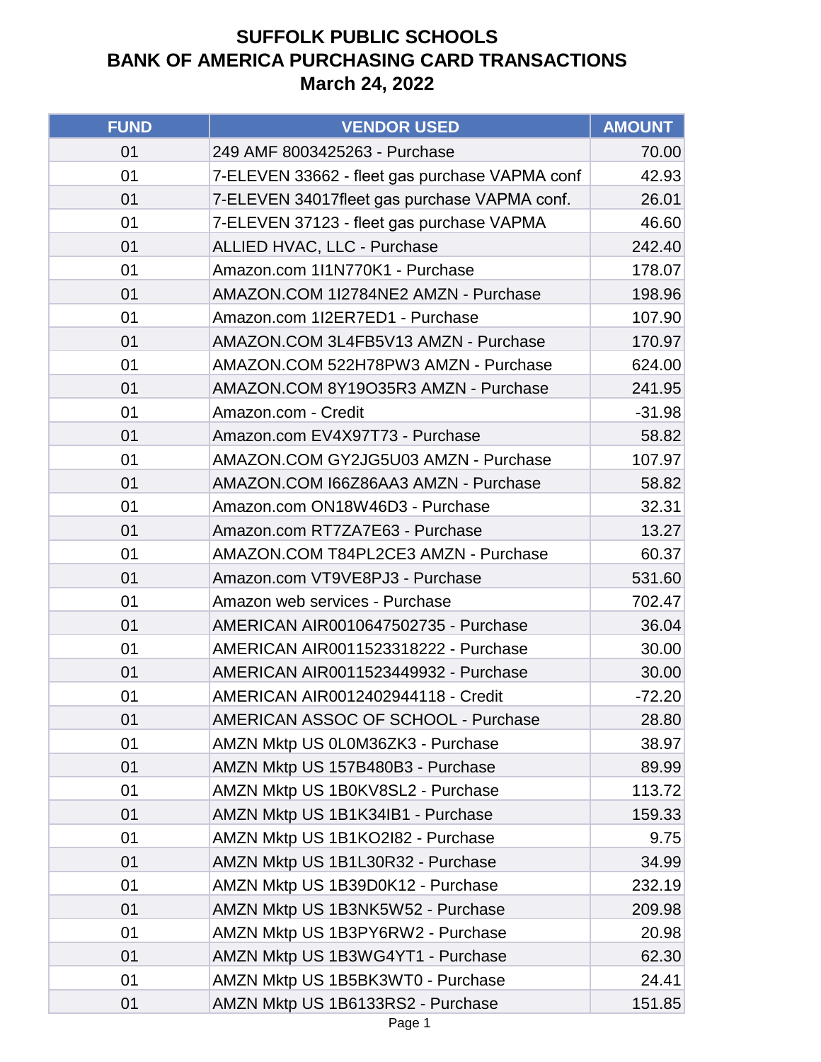| <b>FUND</b> | <b>VENDOR USED</b>                             | <b>AMOUNT</b> |
|-------------|------------------------------------------------|---------------|
| 01          | 249 AMF 8003425263 - Purchase                  | 70.00         |
| 01          | 7-ELEVEN 33662 - fleet gas purchase VAPMA conf | 42.93         |
| 01          | 7-ELEVEN 34017fleet gas purchase VAPMA conf.   | 26.01         |
| 01          | 7-ELEVEN 37123 - fleet gas purchase VAPMA      | 46.60         |
| 01          | ALLIED HVAC, LLC - Purchase                    | 242.40        |
| 01          | Amazon.com 1l1N770K1 - Purchase                | 178.07        |
| 01          | AMAZON.COM 1I2784NE2 AMZN - Purchase           | 198.96        |
| 01          | Amazon.com 1I2ER7ED1 - Purchase                | 107.90        |
| 01          | AMAZON.COM 3L4FB5V13 AMZN - Purchase           | 170.97        |
| 01          | AMAZON.COM 522H78PW3 AMZN - Purchase           | 624.00        |
| 01          | AMAZON.COM 8Y19O35R3 AMZN - Purchase           | 241.95        |
| 01          | Amazon.com - Credit                            | $-31.98$      |
| 01          | Amazon.com EV4X97T73 - Purchase                | 58.82         |
| 01          | AMAZON.COM GY2JG5U03 AMZN - Purchase           | 107.97        |
| 01          | AMAZON.COM I66Z86AA3 AMZN - Purchase           | 58.82         |
| 01          | Amazon.com ON18W46D3 - Purchase                | 32.31         |
| 01          | Amazon.com RT7ZA7E63 - Purchase                | 13.27         |
| 01          | AMAZON.COM T84PL2CE3 AMZN - Purchase           | 60.37         |
| 01          | Amazon.com VT9VE8PJ3 - Purchase                | 531.60        |
| 01          | Amazon web services - Purchase                 | 702.47        |
| 01          | AMERICAN AIR0010647502735 - Purchase           | 36.04         |
| 01          | AMERICAN AIR0011523318222 - Purchase           | 30.00         |
| 01          | AMERICAN AIR0011523449932 - Purchase           | 30.00         |
| 01          | AMERICAN AIR0012402944118 - Credit             | $-72.20$      |
| 01          | AMERICAN ASSOC OF SCHOOL - Purchase            | 28.80         |
| 01          | AMZN Mktp US 0L0M36ZK3 - Purchase              | 38.97         |
| 01          | AMZN Mktp US 157B480B3 - Purchase              | 89.99         |
| 01          | AMZN Mktp US 1B0KV8SL2 - Purchase              | 113.72        |
| 01          | AMZN Mktp US 1B1K34IB1 - Purchase              | 159.33        |
| 01          | AMZN Mktp US 1B1KO2I82 - Purchase              | 9.75          |
| 01          | AMZN Mktp US 1B1L30R32 - Purchase              | 34.99         |
| 01          | AMZN Mktp US 1B39D0K12 - Purchase              | 232.19        |
| 01          | AMZN Mktp US 1B3NK5W52 - Purchase              | 209.98        |
| 01          | AMZN Mktp US 1B3PY6RW2 - Purchase              | 20.98         |
| 01          | AMZN Mktp US 1B3WG4YT1 - Purchase              | 62.30         |
| 01          | AMZN Mktp US 1B5BK3WT0 - Purchase              | 24.41         |
| 01          | AMZN Mktp US 1B6133RS2 - Purchase              | 151.85        |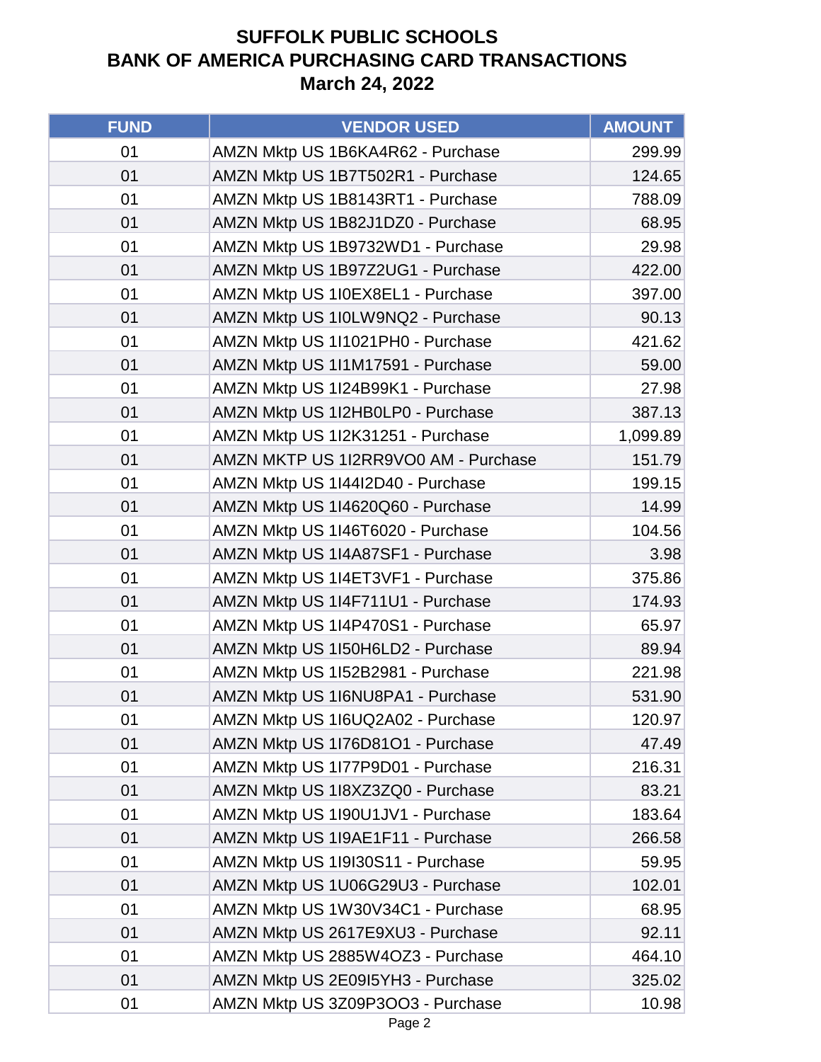| <b>FUND</b> | <b>VENDOR USED</b>                   | <b>AMOUNT</b> |
|-------------|--------------------------------------|---------------|
| 01          | AMZN Mktp US 1B6KA4R62 - Purchase    | 299.99        |
| 01          | AMZN Mktp US 1B7T502R1 - Purchase    | 124.65        |
| 01          | AMZN Mktp US 1B8143RT1 - Purchase    | 788.09        |
| 01          | AMZN Mktp US 1B82J1DZ0 - Purchase    | 68.95         |
| 01          | AMZN Mktp US 1B9732WD1 - Purchase    | 29.98         |
| 01          | AMZN Mktp US 1B97Z2UG1 - Purchase    | 422.00        |
| 01          | AMZN Mktp US 1I0EX8EL1 - Purchase    | 397.00        |
| 01          | AMZN Mktp US 1I0LW9NQ2 - Purchase    | 90.13         |
| 01          | AMZN Mktp US 1I1021PH0 - Purchase    | 421.62        |
| 01          | AMZN Mktp US 1I1M17591 - Purchase    | 59.00         |
| 01          | AMZN Mktp US 1I24B99K1 - Purchase    | 27.98         |
| 01          | AMZN Mktp US 1I2HB0LP0 - Purchase    | 387.13        |
| 01          | AMZN Mktp US 1I2K31251 - Purchase    | 1,099.89      |
| 01          | AMZN MKTP US 1I2RR9VO0 AM - Purchase | 151.79        |
| 01          | AMZN Mktp US 1I44I2D40 - Purchase    | 199.15        |
| 01          | AMZN Mktp US 1I4620Q60 - Purchase    | 14.99         |
| 01          | AMZN Mktp US 1I46T6020 - Purchase    | 104.56        |
| 01          | AMZN Mktp US 1I4A87SF1 - Purchase    | 3.98          |
| 01          | AMZN Mktp US 1I4ET3VF1 - Purchase    | 375.86        |
| 01          | AMZN Mktp US 1I4F711U1 - Purchase    | 174.93        |
| 01          | AMZN Mktp US 1I4P470S1 - Purchase    | 65.97         |
| 01          | AMZN Mktp US 1I50H6LD2 - Purchase    | 89.94         |
| 01          | AMZN Mktp US 1I52B2981 - Purchase    | 221.98        |
| 01          | AMZN Mktp US 1I6NU8PA1 - Purchase    | 531.90        |
| 01          | AMZN Mktp US 116UQ2A02 - Purchase    | 120.97        |
| 01          | AMZN Mktp US 1I76D81O1 - Purchase    | 47.49         |
| 01          | AMZN Mktp US 1177P9D01 - Purchase    | 216.31        |
| 01          | AMZN Mktp US 1I8XZ3ZQ0 - Purchase    | 83.21         |
| 01          | AMZN Mktp US 1I90U1JV1 - Purchase    | 183.64        |
| 01          | AMZN Mktp US 1I9AE1F11 - Purchase    | 266.58        |
| 01          | AMZN Mktp US 1I9I30S11 - Purchase    | 59.95         |
| 01          | AMZN Mktp US 1U06G29U3 - Purchase    | 102.01        |
| 01          | AMZN Mktp US 1W30V34C1 - Purchase    | 68.95         |
| 01          | AMZN Mktp US 2617E9XU3 - Purchase    | 92.11         |
| 01          | AMZN Mktp US 2885W4OZ3 - Purchase    | 464.10        |
| 01          | AMZN Mktp US 2E09I5YH3 - Purchase    | 325.02        |
| 01          | AMZN Mktp US 3Z09P3OO3 - Purchase    | 10.98         |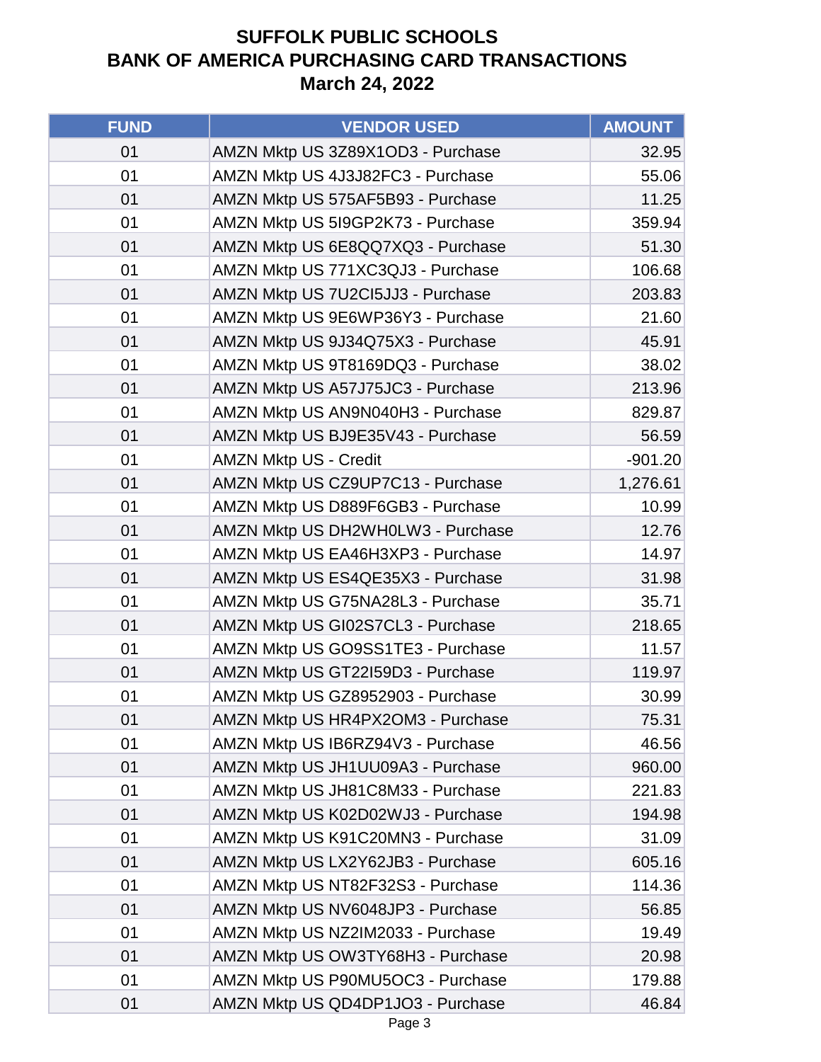| <b>FUND</b> | <b>VENDOR USED</b>                | <b>AMOUNT</b> |
|-------------|-----------------------------------|---------------|
| 01          | AMZN Mktp US 3Z89X1OD3 - Purchase | 32.95         |
| 01          | AMZN Mktp US 4J3J82FC3 - Purchase | 55.06         |
| 01          | AMZN Mktp US 575AF5B93 - Purchase | 11.25         |
| 01          | AMZN Mktp US 5I9GP2K73 - Purchase | 359.94        |
| 01          | AMZN Mktp US 6E8QQ7XQ3 - Purchase | 51.30         |
| 01          | AMZN Mktp US 771XC3QJ3 - Purchase | 106.68        |
| 01          | AMZN Mktp US 7U2CI5JJ3 - Purchase | 203.83        |
| 01          | AMZN Mktp US 9E6WP36Y3 - Purchase | 21.60         |
| 01          | AMZN Mktp US 9J34Q75X3 - Purchase | 45.91         |
| 01          | AMZN Mktp US 9T8169DQ3 - Purchase | 38.02         |
| 01          | AMZN Mktp US A57J75JC3 - Purchase | 213.96        |
| 01          | AMZN Mktp US AN9N040H3 - Purchase | 829.87        |
| 01          | AMZN Mktp US BJ9E35V43 - Purchase | 56.59         |
| 01          | <b>AMZN Mktp US - Credit</b>      | $-901.20$     |
| 01          | AMZN Mktp US CZ9UP7C13 - Purchase | 1,276.61      |
| 01          | AMZN Mktp US D889F6GB3 - Purchase | 10.99         |
| 01          | AMZN Mktp US DH2WH0LW3 - Purchase | 12.76         |
| 01          | AMZN Mktp US EA46H3XP3 - Purchase | 14.97         |
| 01          | AMZN Mktp US ES4QE35X3 - Purchase | 31.98         |
| 01          | AMZN Mktp US G75NA28L3 - Purchase | 35.71         |
| 01          | AMZN Mktp US GI02S7CL3 - Purchase | 218.65        |
| 01          | AMZN Mktp US GO9SS1TE3 - Purchase | 11.57         |
| 01          | AMZN Mktp US GT22I59D3 - Purchase | 119.97        |
| 01          | AMZN Mktp US GZ8952903 - Purchase | 30.99         |
| 01          | AMZN Mktp US HR4PX2OM3 - Purchase | 75.31         |
| 01          | AMZN Mktp US IB6RZ94V3 - Purchase | 46.56         |
| 01          | AMZN Mktp US JH1UU09A3 - Purchase | 960.00        |
| 01          | AMZN Mktp US JH81C8M33 - Purchase | 221.83        |
| 01          | AMZN Mktp US K02D02WJ3 - Purchase | 194.98        |
| 01          | AMZN Mktp US K91C20MN3 - Purchase | 31.09         |
| 01          | AMZN Mktp US LX2Y62JB3 - Purchase | 605.16        |
| 01          | AMZN Mktp US NT82F32S3 - Purchase | 114.36        |
| 01          | AMZN Mktp US NV6048JP3 - Purchase | 56.85         |
| 01          | AMZN Mktp US NZ2IM2033 - Purchase | 19.49         |
| 01          | AMZN Mktp US OW3TY68H3 - Purchase | 20.98         |
| 01          | AMZN Mktp US P90MU5OC3 - Purchase | 179.88        |
| 01          | AMZN Mktp US QD4DP1JO3 - Purchase | 46.84         |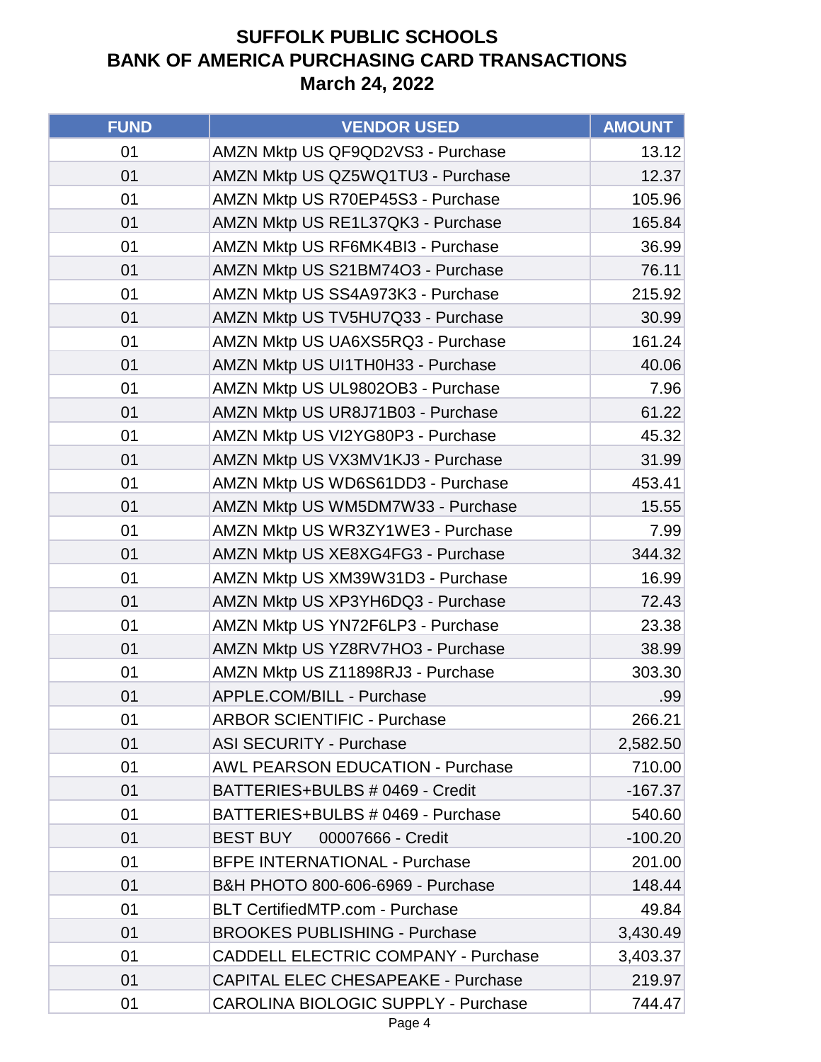| <b>FUND</b> | <b>VENDOR USED</b>                         | <b>AMOUNT</b> |
|-------------|--------------------------------------------|---------------|
| 01          | AMZN Mktp US QF9QD2VS3 - Purchase          | 13.12         |
| 01          | AMZN Mktp US QZ5WQ1TU3 - Purchase          | 12.37         |
| 01          | AMZN Mktp US R70EP45S3 - Purchase          | 105.96        |
| 01          | AMZN Mktp US RE1L37QK3 - Purchase          | 165.84        |
| 01          | AMZN Mktp US RF6MK4BI3 - Purchase          | 36.99         |
| 01          | AMZN Mktp US S21BM74O3 - Purchase          | 76.11         |
| 01          | AMZN Mktp US SS4A973K3 - Purchase          | 215.92        |
| 01          | AMZN Mktp US TV5HU7Q33 - Purchase          | 30.99         |
| 01          | AMZN Mktp US UA6XS5RQ3 - Purchase          | 161.24        |
| 01          | AMZN Mktp US UI1TH0H33 - Purchase          | 40.06         |
| 01          | AMZN Mktp US UL9802OB3 - Purchase          | 7.96          |
| 01          | AMZN Mktp US UR8J71B03 - Purchase          | 61.22         |
| 01          | AMZN Mktp US VI2YG80P3 - Purchase          | 45.32         |
| 01          | AMZN Mktp US VX3MV1KJ3 - Purchase          | 31.99         |
| 01          | AMZN Mktp US WD6S61DD3 - Purchase          | 453.41        |
| 01          | AMZN Mktp US WM5DM7W33 - Purchase          | 15.55         |
| 01          | AMZN Mktp US WR3ZY1WE3 - Purchase          | 7.99          |
| 01          | AMZN Mktp US XE8XG4FG3 - Purchase          | 344.32        |
| 01          | AMZN Mktp US XM39W31D3 - Purchase          | 16.99         |
| 01          | AMZN Mktp US XP3YH6DQ3 - Purchase          | 72.43         |
| 01          | AMZN Mktp US YN72F6LP3 - Purchase          | 23.38         |
| 01          | AMZN Mktp US YZ8RV7HO3 - Purchase          | 38.99         |
| 01          | AMZN Mktp US Z11898RJ3 - Purchase          | 303.30        |
| 01          | APPLE.COM/BILL - Purchase                  | .99           |
| 01          | <b>ARBOR SCIENTIFIC - Purchase</b>         | 266.21        |
| 01          | <b>ASI SECURITY - Purchase</b>             | 2,582.50      |
| 01          | <b>AWL PEARSON EDUCATION - Purchase</b>    | 710.00        |
| 01          | BATTERIES+BULBS # 0469 - Credit            | $-167.37$     |
| 01          | BATTERIES+BULBS # 0469 - Purchase          | 540.60        |
| 01          | 00007666 - Credit<br><b>BEST BUY</b>       | $-100.20$     |
| 01          | <b>BFPE INTERNATIONAL - Purchase</b>       | 201.00        |
| 01          | B&H PHOTO 800-606-6969 - Purchase          | 148.44        |
| 01          | <b>BLT CertifiedMTP.com - Purchase</b>     | 49.84         |
| 01          | <b>BROOKES PUBLISHING - Purchase</b>       | 3,430.49      |
| 01          | <b>CADDELL ELECTRIC COMPANY - Purchase</b> | 3,403.37      |
| 01          | <b>CAPITAL ELEC CHESAPEAKE - Purchase</b>  | 219.97        |
| 01          | <b>CAROLINA BIOLOGIC SUPPLY - Purchase</b> | 744.47        |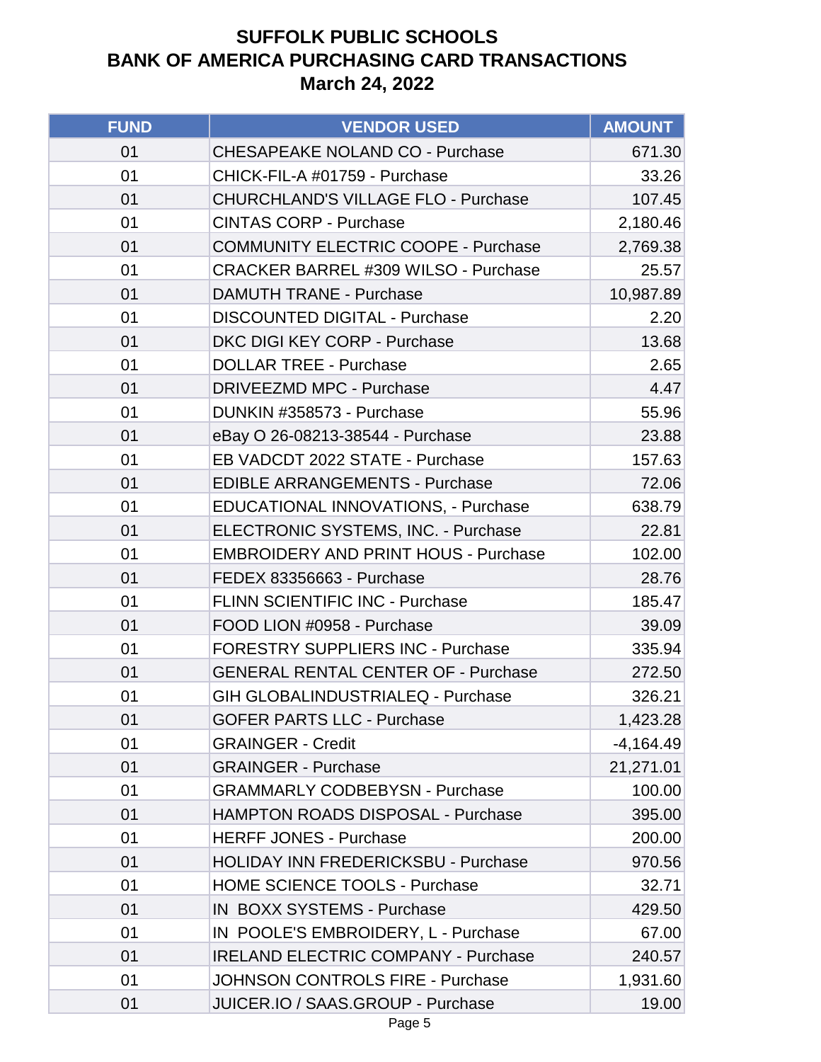| <b>FUND</b> | <b>VENDOR USED</b>                          | <b>AMOUNT</b> |
|-------------|---------------------------------------------|---------------|
| 01          | <b>CHESAPEAKE NOLAND CO - Purchase</b>      | 671.30        |
| 01          | CHICK-FIL-A #01759 - Purchase               | 33.26         |
| 01          | <b>CHURCHLAND'S VILLAGE FLO - Purchase</b>  | 107.45        |
| 01          | <b>CINTAS CORP - Purchase</b>               | 2,180.46      |
| 01          | <b>COMMUNITY ELECTRIC COOPE - Purchase</b>  | 2,769.38      |
| 01          | <b>CRACKER BARREL #309 WILSO - Purchase</b> | 25.57         |
| 01          | <b>DAMUTH TRANE - Purchase</b>              | 10,987.89     |
| 01          | <b>DISCOUNTED DIGITAL - Purchase</b>        | 2.20          |
| 01          | DKC DIGI KEY CORP - Purchase                | 13.68         |
| 01          | <b>DOLLAR TREE - Purchase</b>               | 2.65          |
| 01          | <b>DRIVEEZMD MPC - Purchase</b>             | 4.47          |
| 01          | DUNKIN #358573 - Purchase                   | 55.96         |
| 01          | eBay O 26-08213-38544 - Purchase            | 23.88         |
| 01          | EB VADCDT 2022 STATE - Purchase             | 157.63        |
| 01          | <b>EDIBLE ARRANGEMENTS - Purchase</b>       | 72.06         |
| 01          | EDUCATIONAL INNOVATIONS, - Purchase         | 638.79        |
| 01          | ELECTRONIC SYSTEMS, INC. - Purchase         | 22.81         |
| 01          | <b>EMBROIDERY AND PRINT HOUS - Purchase</b> | 102.00        |
| 01          | FEDEX 83356663 - Purchase                   | 28.76         |
| 01          | FLINN SCIENTIFIC INC - Purchase             | 185.47        |
| 01          | FOOD LION #0958 - Purchase                  | 39.09         |
| 01          | <b>FORESTRY SUPPLIERS INC - Purchase</b>    | 335.94        |
| 01          | <b>GENERAL RENTAL CENTER OF - Purchase</b>  | 272.50        |
| 01          | <b>GIH GLOBALINDUSTRIALEQ - Purchase</b>    | 326.21        |
| 01          | <b>GOFER PARTS LLC - Purchase</b>           | 1,423.28      |
| 01          | <b>GRAINGER - Credit</b>                    | $-4,164.49$   |
| 01          | <b>GRAINGER - Purchase</b>                  | 21,271.01     |
| 01          | <b>GRAMMARLY CODBEBYSN - Purchase</b>       | 100.00        |
| 01          | <b>HAMPTON ROADS DISPOSAL - Purchase</b>    | 395.00        |
| 01          | <b>HERFF JONES - Purchase</b>               | 200.00        |
| 01          | HOLIDAY INN FREDERICKSBU - Purchase         | 970.56        |
| 01          | <b>HOME SCIENCE TOOLS - Purchase</b>        | 32.71         |
| 01          | IN BOXX SYSTEMS - Purchase                  | 429.50        |
| 01          | IN POOLE'S EMBROIDERY, L - Purchase         | 67.00         |
| 01          | <b>IRELAND ELECTRIC COMPANY - Purchase</b>  | 240.57        |
| 01          | <b>JOHNSON CONTROLS FIRE - Purchase</b>     | 1,931.60      |
| 01          | JUICER.IO / SAAS.GROUP - Purchase           | 19.00         |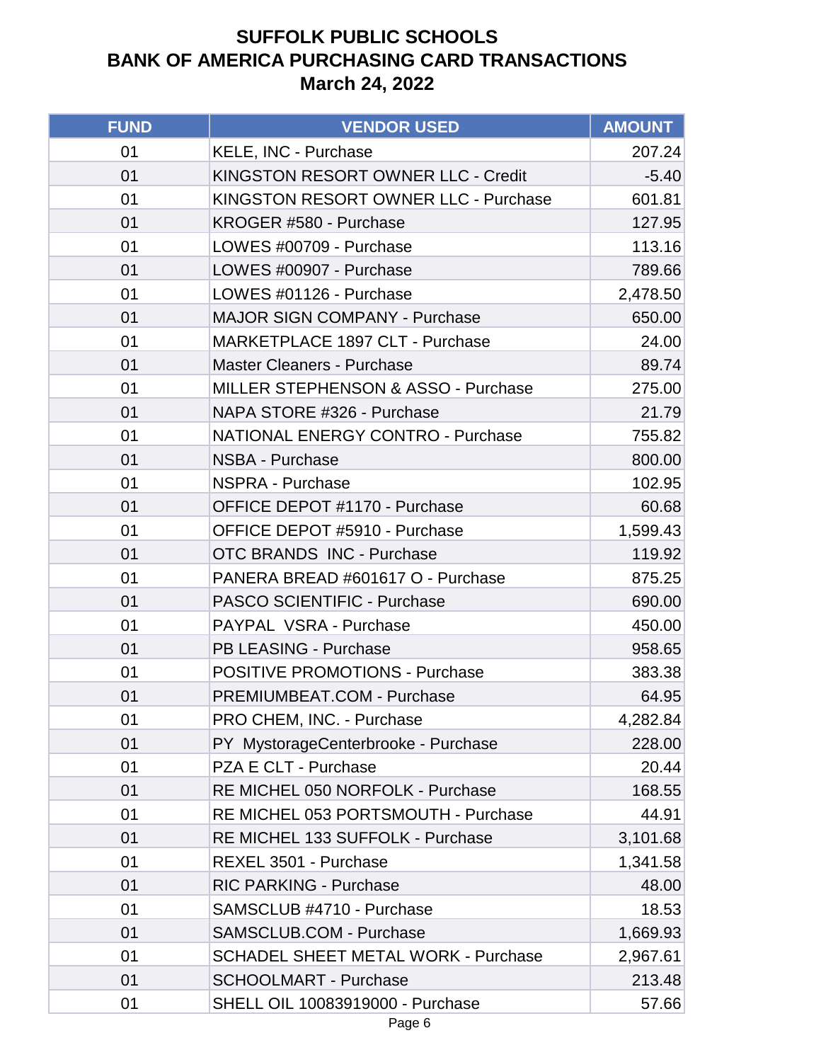| <b>FUND</b> | <b>VENDOR USED</b>                             | <b>AMOUNT</b> |
|-------------|------------------------------------------------|---------------|
| 01          | KELE, INC - Purchase                           | 207.24        |
| 01          | KINGSTON RESORT OWNER LLC - Credit             | $-5.40$       |
| 01          | KINGSTON RESORT OWNER LLC - Purchase           | 601.81        |
| 01          | KROGER #580 - Purchase                         | 127.95        |
| 01          | LOWES #00709 - Purchase                        | 113.16        |
| 01          | LOWES #00907 - Purchase                        | 789.66        |
| 01          | LOWES #01126 - Purchase                        | 2,478.50      |
| 01          | <b>MAJOR SIGN COMPANY - Purchase</b>           | 650.00        |
| 01          | MARKETPLACE 1897 CLT - Purchase                | 24.00         |
| 01          | <b>Master Cleaners - Purchase</b>              | 89.74         |
| 01          | <b>MILLER STEPHENSON &amp; ASSO - Purchase</b> | 275.00        |
| 01          | NAPA STORE #326 - Purchase                     | 21.79         |
| 01          | <b>NATIONAL ENERGY CONTRO - Purchase</b>       | 755.82        |
| 01          | <b>NSBA - Purchase</b>                         | 800.00        |
| 01          | <b>NSPRA - Purchase</b>                        | 102.95        |
| 01          | OFFICE DEPOT #1170 - Purchase                  | 60.68         |
| 01          | OFFICE DEPOT #5910 - Purchase                  | 1,599.43      |
| 01          | <b>OTC BRANDS INC - Purchase</b>               | 119.92        |
| 01          | PANERA BREAD #601617 O - Purchase              | 875.25        |
| 01          | PASCO SCIENTIFIC - Purchase                    | 690.00        |
| 01          | PAYPAL VSRA - Purchase                         | 450.00        |
| 01          | PB LEASING - Purchase                          | 958.65        |
| 01          | <b>POSITIVE PROMOTIONS - Purchase</b>          | 383.38        |
| 01          | PREMIUMBEAT.COM - Purchase                     | 64.95         |
| 01          | PRO CHEM, INC. - Purchase                      | 4,282.84      |
| 01          | PY MystorageCenterbrooke - Purchase            | 228.00        |
| 01          | PZA E CLT - Purchase                           | 20.44         |
| 01          | RE MICHEL 050 NORFOLK - Purchase               | 168.55        |
| 01          | RE MICHEL 053 PORTSMOUTH - Purchase            | 44.91         |
| 01          | RE MICHEL 133 SUFFOLK - Purchase               | 3,101.68      |
| 01          | REXEL 3501 - Purchase                          | 1,341.58      |
| 01          | <b>RIC PARKING - Purchase</b>                  | 48.00         |
| 01          | SAMSCLUB #4710 - Purchase                      | 18.53         |
| 01          | <b>SAMSCLUB.COM - Purchase</b>                 | 1,669.93      |
| 01          | <b>SCHADEL SHEET METAL WORK - Purchase</b>     | 2,967.61      |
| 01          | <b>SCHOOLMART - Purchase</b>                   | 213.48        |
| 01          | <b>SHELL OIL 10083919000 - Purchase</b>        | 57.66         |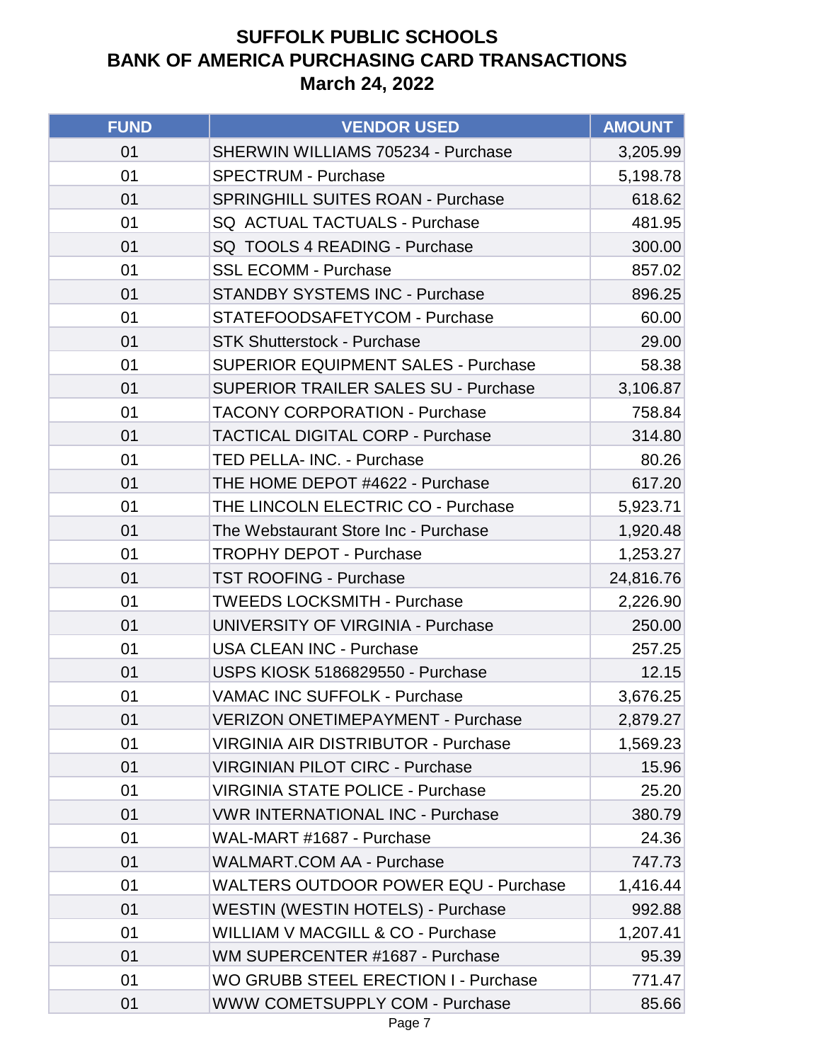| <b>FUND</b> | <b>VENDOR USED</b>                           | <b>AMOUNT</b> |
|-------------|----------------------------------------------|---------------|
| 01          | SHERWIN WILLIAMS 705234 - Purchase           | 3,205.99      |
| 01          | <b>SPECTRUM - Purchase</b>                   | 5,198.78      |
| 01          | <b>SPRINGHILL SUITES ROAN - Purchase</b>     | 618.62        |
| 01          | SQ ACTUAL TACTUALS - Purchase                | 481.95        |
| 01          | SQ TOOLS 4 READING - Purchase                | 300.00        |
| 01          | <b>SSL ECOMM - Purchase</b>                  | 857.02        |
| 01          | <b>STANDBY SYSTEMS INC - Purchase</b>        | 896.25        |
| 01          | STATEFOODSAFETYCOM - Purchase                | 60.00         |
| 01          | <b>STK Shutterstock - Purchase</b>           | 29.00         |
| 01          | <b>SUPERIOR EQUIPMENT SALES - Purchase</b>   | 58.38         |
| 01          | <b>SUPERIOR TRAILER SALES SU - Purchase</b>  | 3,106.87      |
| 01          | <b>TACONY CORPORATION - Purchase</b>         | 758.84        |
| 01          | <b>TACTICAL DIGITAL CORP - Purchase</b>      | 314.80        |
| 01          | TED PELLA- INC. - Purchase                   | 80.26         |
| 01          | THE HOME DEPOT #4622 - Purchase              | 617.20        |
| 01          | THE LINCOLN ELECTRIC CO - Purchase           | 5,923.71      |
| 01          | The Webstaurant Store Inc - Purchase         | 1,920.48      |
| 01          | <b>TROPHY DEPOT - Purchase</b>               | 1,253.27      |
| 01          | <b>TST ROOFING - Purchase</b>                | 24,816.76     |
| 01          | <b>TWEEDS LOCKSMITH - Purchase</b>           | 2,226.90      |
| 01          | <b>UNIVERSITY OF VIRGINIA - Purchase</b>     | 250.00        |
| 01          | <b>USA CLEAN INC - Purchase</b>              | 257.25        |
| 01          | USPS KIOSK 5186829550 - Purchase             | 12.15         |
| 01          | <b>VAMAC INC SUFFOLK - Purchase</b>          | 3,676.25      |
| 01          | <b>VERIZON ONETIMEPAYMENT - Purchase</b>     | 2,879.27      |
| 01          | <b>VIRGINIA AIR DISTRIBUTOR - Purchase</b>   | 1,569.23      |
| 01          | <b>VIRGINIAN PILOT CIRC - Purchase</b>       | 15.96         |
| 01          | <b>VIRGINIA STATE POLICE - Purchase</b>      | 25.20         |
| 01          | <b>VWR INTERNATIONAL INC - Purchase</b>      | 380.79        |
| 01          | WAL-MART #1687 - Purchase                    | 24.36         |
| 01          | <b>WALMART.COM AA - Purchase</b>             | 747.73        |
| 01          | <b>WALTERS OUTDOOR POWER EQU - Purchase</b>  | 1,416.44      |
| 01          | <b>WESTIN (WESTIN HOTELS) - Purchase</b>     | 992.88        |
| 01          | <b>WILLIAM V MACGILL &amp; CO - Purchase</b> | 1,207.41      |
| 01          | WM SUPERCENTER #1687 - Purchase              | 95.39         |
| 01          | <b>WO GRUBB STEEL ERECTION I - Purchase</b>  | 771.47        |
| 01          | WWW COMETSUPPLY COM - Purchase               | 85.66         |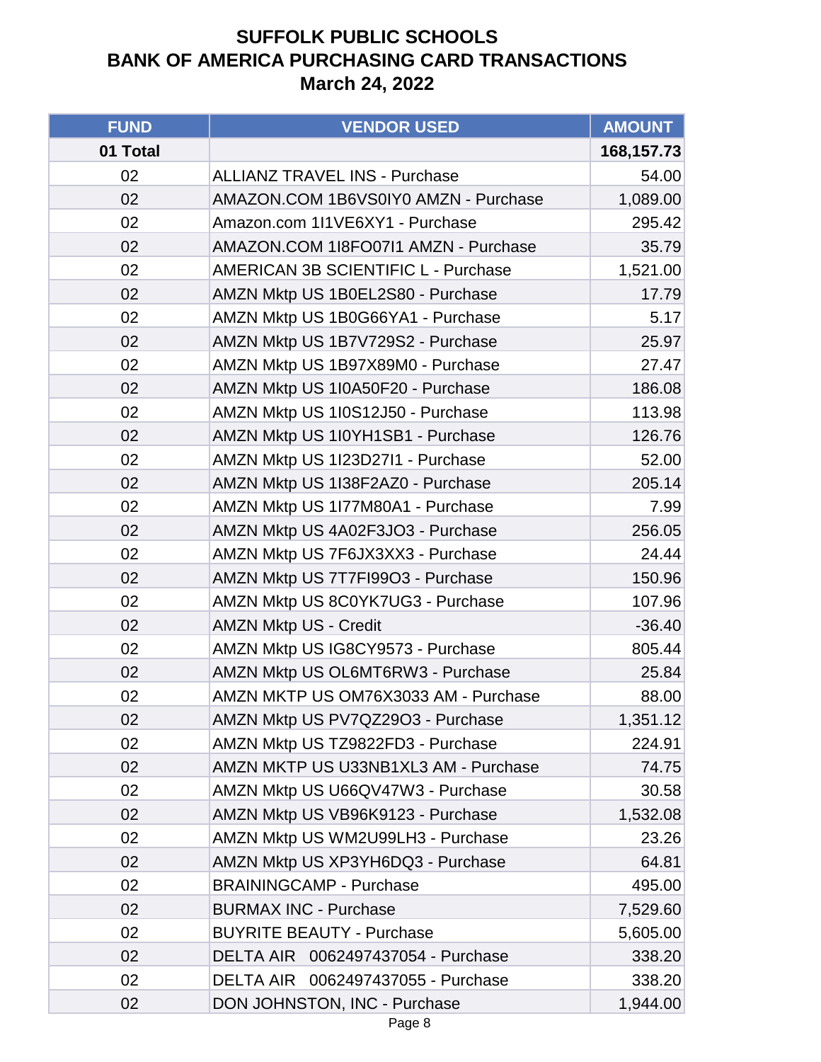| <b>FUND</b> | <b>VENDOR USED</b>                   | <b>AMOUNT</b> |
|-------------|--------------------------------------|---------------|
| 01 Total    |                                      | 168,157.73    |
| 02          | <b>ALLIANZ TRAVEL INS - Purchase</b> | 54.00         |
| 02          | AMAZON.COM 1B6VS0IY0 AMZN - Purchase | 1,089.00      |
| 02          | Amazon.com 1I1VE6XY1 - Purchase      | 295.42        |
| 02          | AMAZON.COM 1I8FO07I1 AMZN - Purchase | 35.79         |
| 02          | AMERICAN 3B SCIENTIFIC L - Purchase  | 1,521.00      |
| 02          | AMZN Mktp US 1B0EL2S80 - Purchase    | 17.79         |
| 02          | AMZN Mktp US 1B0G66YA1 - Purchase    | 5.17          |
| 02          | AMZN Mktp US 1B7V729S2 - Purchase    | 25.97         |
| 02          | AMZN Mktp US 1B97X89M0 - Purchase    | 27.47         |
| 02          | AMZN Mktp US 1I0A50F20 - Purchase    | 186.08        |
| 02          | AMZN Mktp US 1I0S12J50 - Purchase    | 113.98        |
| 02          | AMZN Mktp US 1I0YH1SB1 - Purchase    | 126.76        |
| 02          | AMZN Mktp US 1I23D27I1 - Purchase    | 52.00         |
| 02          | AMZN Mktp US 1I38F2AZ0 - Purchase    | 205.14        |
| 02          | AMZN Mktp US 1177M80A1 - Purchase    | 7.99          |
| 02          | AMZN Mktp US 4A02F3JO3 - Purchase    | 256.05        |
| 02          | AMZN Mktp US 7F6JX3XX3 - Purchase    | 24.44         |
| 02          | AMZN Mktp US 7T7FI99O3 - Purchase    | 150.96        |
| 02          | AMZN Mktp US 8C0YK7UG3 - Purchase    | 107.96        |
| 02          | <b>AMZN Mktp US - Credit</b>         | $-36.40$      |
| 02          | AMZN Mktp US IG8CY9573 - Purchase    | 805.44        |
| 02          | AMZN Mktp US OL6MT6RW3 - Purchase    | 25.84         |
| 02          | AMZN MKTP US OM76X3033 AM - Purchase | 88.00         |
| 02          | AMZN Mktp US PV7QZ29O3 - Purchase    | 1,351.12      |
| 02          | AMZN Mktp US TZ9822FD3 - Purchase    | 224.91        |
| 02          | AMZN MKTP US U33NB1XL3 AM - Purchase | 74.75         |
| 02          | AMZN Mktp US U66QV47W3 - Purchase    | 30.58         |
| 02          | AMZN Mktp US VB96K9123 - Purchase    | 1,532.08      |
| 02          | AMZN Mktp US WM2U99LH3 - Purchase    | 23.26         |
| 02          | AMZN Mktp US XP3YH6DQ3 - Purchase    | 64.81         |
| 02          | <b>BRAININGCAMP - Purchase</b>       | 495.00        |
| 02          | <b>BURMAX INC - Purchase</b>         | 7,529.60      |
| 02          | <b>BUYRITE BEAUTY - Purchase</b>     | 5,605.00      |
| 02          | DELTA AIR 0062497437054 - Purchase   | 338.20        |
| 02          | DELTA AIR 0062497437055 - Purchase   | 338.20        |
| 02          | DON JOHNSTON, INC - Purchase         | 1,944.00      |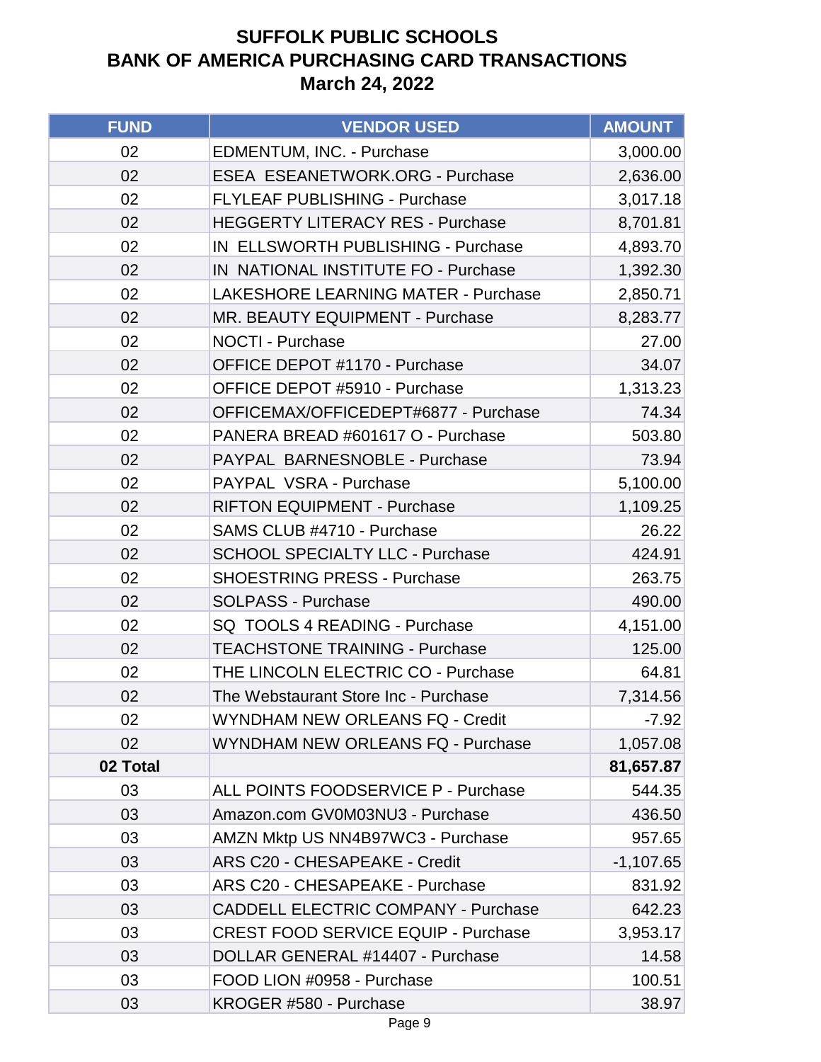| <b>FUND</b> | <b>VENDOR USED</b>                         | <b>AMOUNT</b> |
|-------------|--------------------------------------------|---------------|
| 02          | EDMENTUM, INC. - Purchase                  | 3,000.00      |
| 02          | <b>ESEA ESEANETWORK.ORG - Purchase</b>     | 2,636.00      |
| 02          | FLYLEAF PUBLISHING - Purchase              | 3,017.18      |
| 02          | <b>HEGGERTY LITERACY RES - Purchase</b>    | 8,701.81      |
| 02          | IN ELLSWORTH PUBLISHING - Purchase         | 4,893.70      |
| 02          | IN NATIONAL INSTITUTE FO - Purchase        | 1,392.30      |
| 02          | <b>LAKESHORE LEARNING MATER - Purchase</b> | 2,850.71      |
| 02          | MR. BEAUTY EQUIPMENT - Purchase            | 8,283.77      |
| 02          | <b>NOCTI - Purchase</b>                    | 27.00         |
| 02          | OFFICE DEPOT #1170 - Purchase              | 34.07         |
| 02          | OFFICE DEPOT #5910 - Purchase              | 1,313.23      |
| 02          | OFFICEMAX/OFFICEDEPT#6877 - Purchase       | 74.34         |
| 02          | PANERA BREAD #601617 O - Purchase          | 503.80        |
| 02          | PAYPAL BARNESNOBLE - Purchase              | 73.94         |
| 02          | PAYPAL VSRA - Purchase                     | 5,100.00      |
| 02          | <b>RIFTON EQUIPMENT - Purchase</b>         | 1,109.25      |
| 02          | SAMS CLUB #4710 - Purchase                 | 26.22         |
| 02          | <b>SCHOOL SPECIALTY LLC - Purchase</b>     | 424.91        |
| 02          | <b>SHOESTRING PRESS - Purchase</b>         | 263.75        |
| 02          | <b>SOLPASS - Purchase</b>                  | 490.00        |
| 02          | SQ TOOLS 4 READING - Purchase              | 4,151.00      |
| 02          | <b>TEACHSTONE TRAINING - Purchase</b>      | 125.00        |
| 02          | THE LINCOLN ELECTRIC CO - Purchase         | 64.81         |
| 02          | The Webstaurant Store Inc - Purchase       | 7,314.56      |
| 02          | <b>WYNDHAM NEW ORLEANS FQ - Credit</b>     | $-7.92$       |
| 02          | <b>WYNDHAM NEW ORLEANS FQ - Purchase</b>   | 1,057.08      |
| 02 Total    |                                            | 81,657.87     |
| 03          | ALL POINTS FOODSERVICE P - Purchase        | 544.35        |
| 03          | Amazon.com GV0M03NU3 - Purchase            | 436.50        |
| 03          | AMZN Mktp US NN4B97WC3 - Purchase          | 957.65        |
| 03          | ARS C20 - CHESAPEAKE - Credit              | $-1,107.65$   |
| 03          | ARS C20 - CHESAPEAKE - Purchase            | 831.92        |
| 03          | <b>CADDELL ELECTRIC COMPANY - Purchase</b> | 642.23        |
| 03          | <b>CREST FOOD SERVICE EQUIP - Purchase</b> | 3,953.17      |
| 03          | DOLLAR GENERAL #14407 - Purchase           | 14.58         |
| 03          | FOOD LION #0958 - Purchase                 | 100.51        |
| 03          | KROGER #580 - Purchase                     | 38.97         |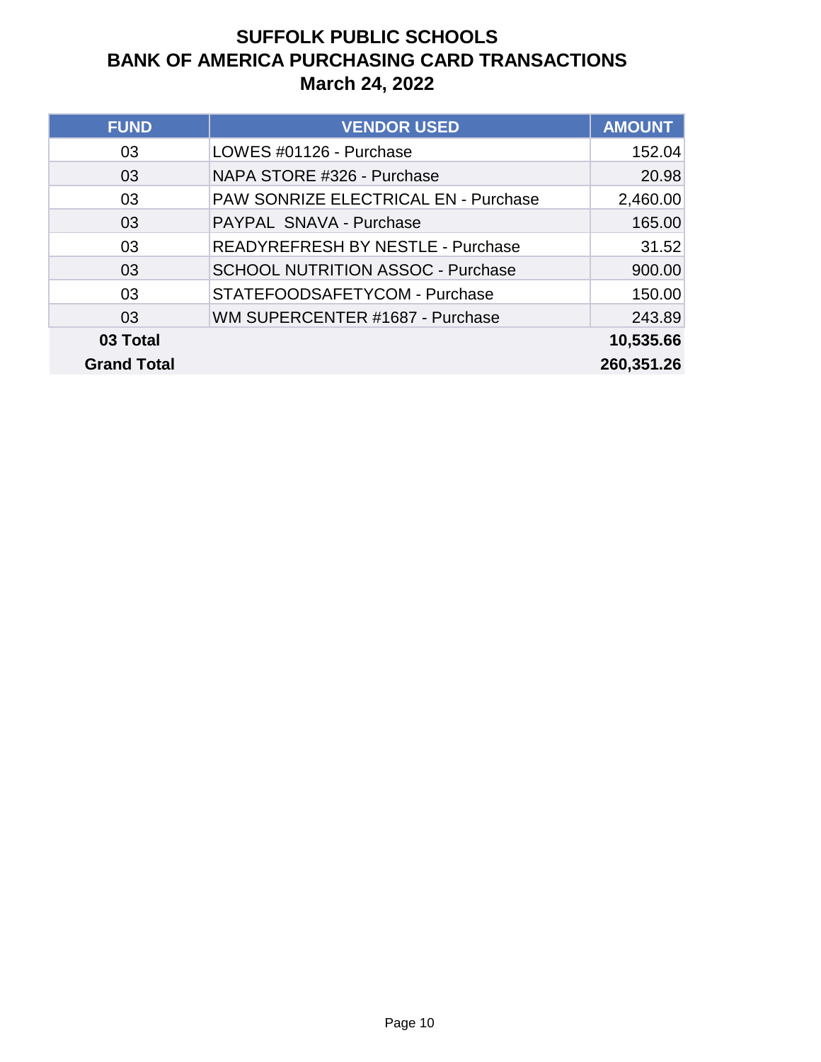| <b>FUND</b>        | <b>VENDOR USED</b>                       | <b>AMOUNT</b> |
|--------------------|------------------------------------------|---------------|
| 03                 | LOWES #01126 - Purchase                  | 152.04        |
| 03                 | NAPA STORE #326 - Purchase               | 20.98         |
| 03                 | PAW SONRIZE ELECTRICAL EN - Purchase     | 2,460.00      |
| 03                 | PAYPAL SNAVA - Purchase                  | 165.00        |
| 03                 | READYREFRESH BY NESTLE - Purchase        | 31.52         |
| 03                 | <b>SCHOOL NUTRITION ASSOC - Purchase</b> | 900.00        |
| 03                 | STATEFOODSAFETYCOM - Purchase            | 150.00        |
| 03                 | WM SUPERCENTER #1687 - Purchase          | 243.89        |
| 03 Total           |                                          | 10,535.66     |
| <b>Grand Total</b> |                                          | 260,351.26    |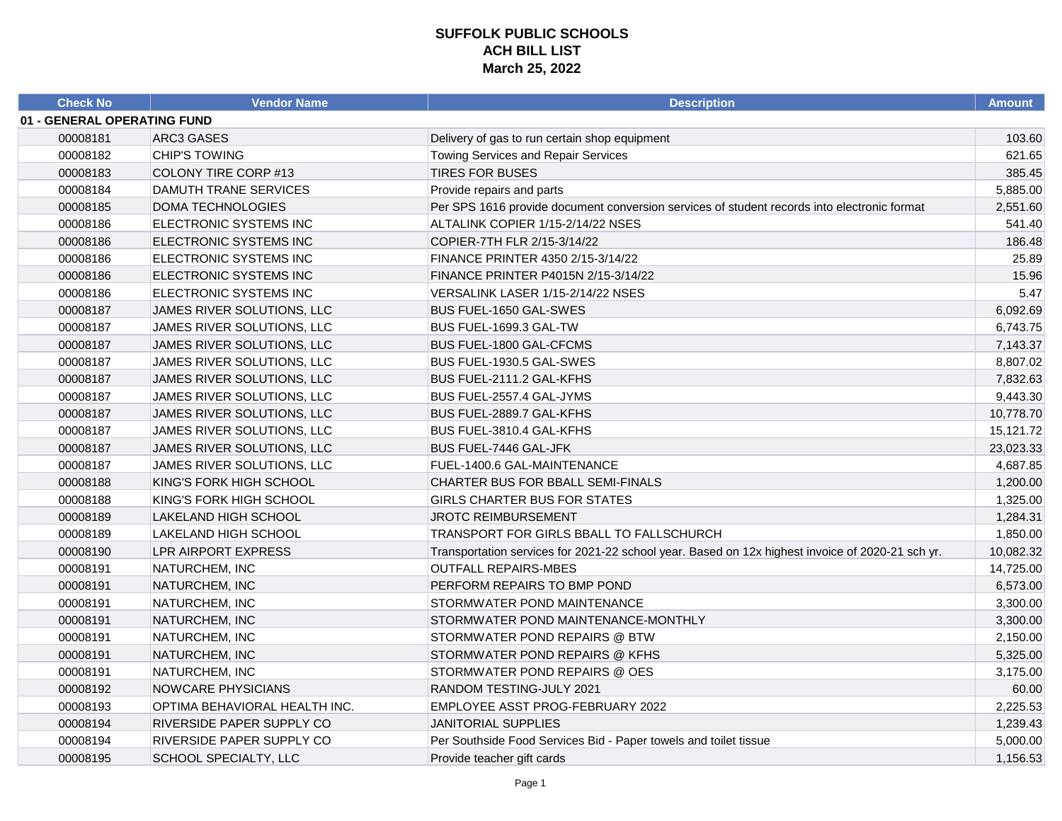| <b>Check No</b>             | <b>Vendor Name</b>            | <b>Description</b>                                                                               | <b>Amount</b> |
|-----------------------------|-------------------------------|--------------------------------------------------------------------------------------------------|---------------|
| 01 - GENERAL OPERATING FUND |                               |                                                                                                  |               |
| 00008181                    | ARC3 GASES                    | Delivery of gas to run certain shop equipment                                                    | 103.60        |
| 00008182                    | <b>CHIP'S TOWING</b>          | <b>Towing Services and Repair Services</b>                                                       | 621.65        |
| 00008183                    | COLONY TIRE CORP #13          | <b>TIRES FOR BUSES</b>                                                                           | 385.45        |
| 00008184                    | DAMUTH TRANE SERVICES         | Provide repairs and parts                                                                        | 5,885.00      |
| 00008185                    | DOMA TECHNOLOGIES             | Per SPS 1616 provide document conversion services of student records into electronic format      | 2,551.60      |
| 00008186                    | ELECTRONIC SYSTEMS INC        | ALTALINK COPIER 1/15-2/14/22 NSES                                                                | 541.40        |
| 00008186                    | ELECTRONIC SYSTEMS INC        | COPIER-7TH FLR 2/15-3/14/22                                                                      | 186.48        |
| 00008186                    | ELECTRONIC SYSTEMS INC        | FINANCE PRINTER 4350 2/15-3/14/22                                                                | 25.89         |
| 00008186                    | ELECTRONIC SYSTEMS INC        | FINANCE PRINTER P4015N 2/15-3/14/22                                                              | 15.96         |
| 00008186                    | ELECTRONIC SYSTEMS INC        | VERSALINK LASER 1/15-2/14/22 NSES                                                                | 5.47          |
| 00008187                    | JAMES RIVER SOLUTIONS, LLC    | <b>BUS FUEL-1650 GAL-SWES</b>                                                                    | 6,092.69      |
| 00008187                    | JAMES RIVER SOLUTIONS, LLC    | BUS FUEL-1699.3 GAL-TW                                                                           | 6,743.75      |
| 00008187                    | JAMES RIVER SOLUTIONS, LLC    | BUS FUEL-1800 GAL-CFCMS                                                                          | 7,143.37      |
| 00008187                    | JAMES RIVER SOLUTIONS, LLC    | BUS FUEL-1930.5 GAL-SWES                                                                         | 8,807.02      |
| 00008187                    | JAMES RIVER SOLUTIONS, LLC    | BUS FUEL-2111.2 GAL-KFHS                                                                         | 7,832.63      |
| 00008187                    | JAMES RIVER SOLUTIONS, LLC    | BUS FUEL-2557.4 GAL-JYMS                                                                         | 9,443.30      |
| 00008187                    | JAMES RIVER SOLUTIONS, LLC    | BUS FUEL-2889.7 GAL-KFHS                                                                         | 10,778.70     |
| 00008187                    | JAMES RIVER SOLUTIONS, LLC    | BUS FUEL-3810.4 GAL-KFHS                                                                         | 15,121.72     |
| 00008187                    | JAMES RIVER SOLUTIONS, LLC    | BUS FUEL-7446 GAL-JFK                                                                            | 23,023.33     |
| 00008187                    | JAMES RIVER SOLUTIONS, LLC    | FUEL-1400.6 GAL-MAINTENANCE                                                                      | 4,687.85      |
| 00008188                    | KING'S FORK HIGH SCHOOL       | CHARTER BUS FOR BBALL SEMI-FINALS                                                                | 1,200.00      |
| 00008188                    | KING'S FORK HIGH SCHOOL       | GIRLS CHARTER BUS FOR STATES                                                                     | 1,325.00      |
| 00008189                    | LAKELAND HIGH SCHOOL          | <b>JROTC REIMBURSEMENT</b>                                                                       | 1,284.31      |
| 00008189                    | LAKELAND HIGH SCHOOL          | TRANSPORT FOR GIRLS BBALL TO FALLSCHURCH                                                         | 1,850.00      |
| 00008190                    | LPR AIRPORT EXPRESS           | Transportation services for 2021-22 school year. Based on 12x highest invoice of 2020-21 sch yr. | 10,082.32     |
| 00008191                    | NATURCHEM, INC                | <b>OUTFALL REPAIRS-MBES</b>                                                                      | 14,725.00     |
| 00008191                    | NATURCHEM, INC                | PERFORM REPAIRS TO BMP POND                                                                      | 6,573.00      |
| 00008191                    | NATURCHEM, INC                | STORMWATER POND MAINTENANCE                                                                      | 3,300.00      |
| 00008191                    | NATURCHEM, INC                | STORMWATER POND MAINTENANCE-MONTHLY                                                              | 3,300.00      |
| 00008191                    | NATURCHEM, INC                | STORMWATER POND REPAIRS @ BTW                                                                    | 2,150.00      |
| 00008191                    | NATURCHEM, INC                | STORMWATER POND REPAIRS @ KFHS                                                                   | 5,325.00      |
| 00008191                    | NATURCHEM, INC                | STORMWATER POND REPAIRS @ OES                                                                    | 3,175.00      |
| 00008192                    | NOWCARE PHYSICIANS            | RANDOM TESTING-JULY 2021                                                                         | 60.00         |
| 00008193                    | OPTIMA BEHAVIORAL HEALTH INC. | EMPLOYEE ASST PROG-FEBRUARY 2022                                                                 | 2,225.53      |
| 00008194                    | RIVERSIDE PAPER SUPPLY CO     | <b>JANITORIAL SUPPLIES</b>                                                                       | 1,239.43      |
| 00008194                    | RIVERSIDE PAPER SUPPLY CO     | Per Southside Food Services Bid - Paper towels and toilet tissue                                 | 5,000.00      |
| 00008195                    | SCHOOL SPECIALTY, LLC         | Provide teacher gift cards                                                                       | 1,156.53      |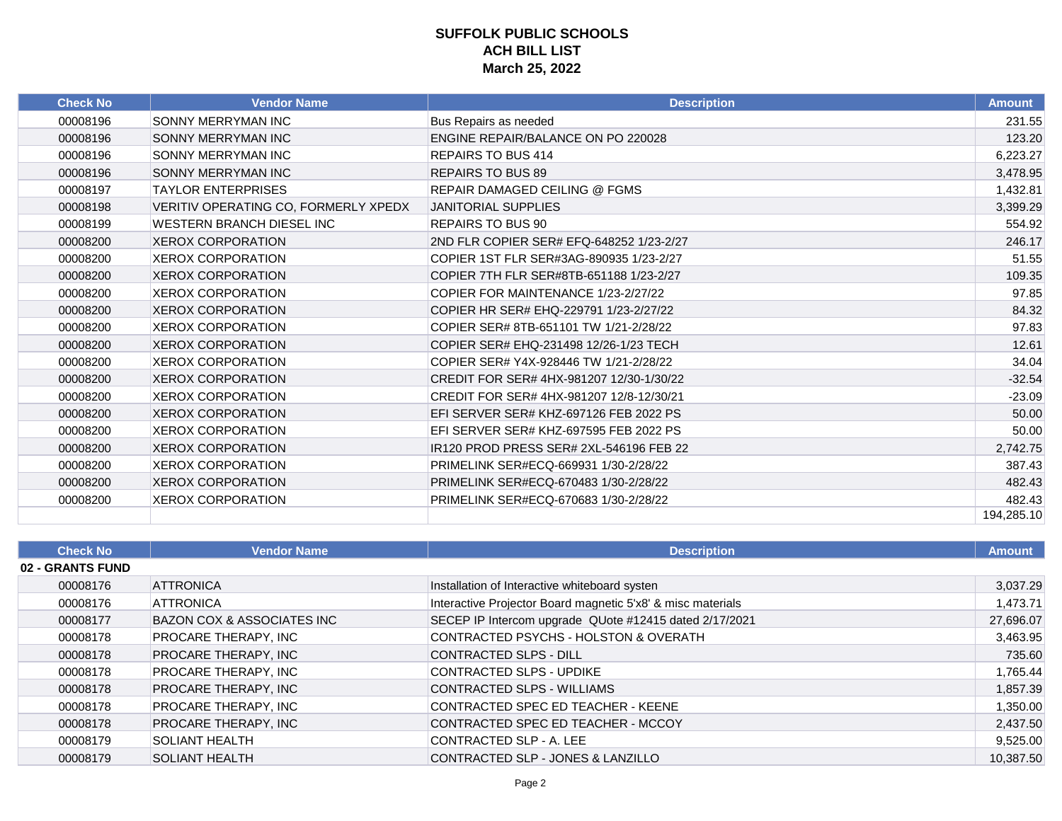| <b>Check No</b> | <b>Vendor Name</b>                   | <b>Description</b>                        | <b>Amount</b> |
|-----------------|--------------------------------------|-------------------------------------------|---------------|
| 00008196        | <b>SONNY MERRYMAN INC</b>            | Bus Repairs as needed                     | 231.55        |
| 00008196        | <b>SONNY MERRYMAN INC</b>            | <b>ENGINE REPAIR/BALANCE ON PO 220028</b> | 123.20        |
| 00008196        | SONNY MERRYMAN INC                   | <b>REPAIRS TO BUS 414</b>                 | 6,223.27      |
| 00008196        | <b>SONNY MERRYMAN INC</b>            | <b>REPAIRS TO BUS 89</b>                  | 3,478.95      |
| 00008197        | <b>TAYLOR ENTERPRISES</b>            | <b>REPAIR DAMAGED CEILING @ FGMS</b>      | 1,432.81      |
| 00008198        | VERITIV OPERATING CO, FORMERLY XPEDX | <b>JANITORIAL SUPPLIES</b>                | 3,399.29      |
| 00008199        | WESTERN BRANCH DIESEL INC            | <b>REPAIRS TO BUS 90</b>                  | 554.92        |
| 00008200        | <b>XEROX CORPORATION</b>             | 2ND FLR COPIER SER# EFQ-648252 1/23-2/27  | 246.17        |
| 00008200        | XEROX CORPORATION                    | COPIER 1ST FLR SER#3AG-890935 1/23-2/27   | 51.55         |
| 00008200        | <b>XEROX CORPORATION</b>             | COPIER 7TH FLR SER#8TB-651188 1/23-2/27   | 109.35        |
| 00008200        | <b>XEROX CORPORATION</b>             | COPIER FOR MAINTENANCE 1/23-2/27/22       | 97.85         |
| 00008200        | <b>XEROX CORPORATION</b>             | COPIER HR SER# EHQ-229791 1/23-2/27/22    | 84.32         |
| 00008200        | <b>XEROX CORPORATION</b>             | COPIER SER# 8TB-651101 TW 1/21-2/28/22    | 97.83         |
| 00008200        | <b>XEROX CORPORATION</b>             | COPIER SER# EHQ-231498 12/26-1/23 TECH    | 12.61         |
| 00008200        | <b>XEROX CORPORATION</b>             | COPIER SER# Y4X-928446 TW 1/21-2/28/22    | 34.04         |
| 00008200        | <b>XEROX CORPORATION</b>             | CREDIT FOR SER# 4HX-981207 12/30-1/30/22  | $-32.54$      |
| 00008200        | <b>XEROX CORPORATION</b>             | CREDIT FOR SER# 4HX-981207 12/8-12/30/21  | $-23.09$      |
| 00008200        | <b>XEROX CORPORATION</b>             | EFI SERVER SER# KHZ-697126 FEB 2022 PS    | 50.00         |
| 00008200        | <b>XEROX CORPORATION</b>             | EFI SERVER SER# KHZ-697595 FEB 2022 PS    | 50.00         |
| 00008200        | <b>XEROX CORPORATION</b>             | IR120 PROD PRESS SER# 2XL-546196 FEB 22   | 2,742.75      |
| 00008200        | <b>XEROX CORPORATION</b>             | PRIMELINK SER#ECQ-669931 1/30-2/28/22     | 387.43        |
| 00008200        | <b>XEROX CORPORATION</b>             | PRIMELINK SER#ECQ-670483 1/30-2/28/22     | 482.43        |
| 00008200        | <b>XEROX CORPORATION</b>             | PRIMELINK SER#ECQ-670683 1/30-2/28/22     | 482.43        |
|                 |                                      |                                           | 194.285.10    |

| <b>Check No</b>  | <b>Vendor Name</b>          | <b>Description</b>                                          | <b>Amount</b> |
|------------------|-----------------------------|-------------------------------------------------------------|---------------|
| 02 - GRANTS FUND |                             |                                                             |               |
| 00008176         | <b>ATTRONICA</b>            | Installation of Interactive whiteboard systen               | 3,037.29      |
| 00008176         | <b>ATTRONICA</b>            | Interactive Projector Board magnetic 5'x8' & misc materials | 1,473.71      |
| 00008177         | BAZON COX & ASSOCIATES INC  | SECEP IP Intercom upgrade QUote #12415 dated 2/17/2021      | 27,696.07     |
| 00008178         | PROCARE THERAPY, INC        | CONTRACTED PSYCHS - HOLSTON & OVERATH                       | 3,463.95      |
| 00008178         | PROCARE THERAPY, INC        | CONTRACTED SLPS - DILL                                      | 735.60        |
| 00008178         | PROCARE THERAPY, INC        | CONTRACTED SLPS - UPDIKE                                    | 1,765.44      |
| 00008178         | PROCARE THERAPY, INC        | CONTRACTED SLPS - WILLIAMS                                  | 1,857.39      |
| 00008178         | <b>PROCARE THERAPY, INC</b> | CONTRACTED SPEC ED TEACHER - KEENE                          | 1,350.00      |
| 00008178         | PROCARE THERAPY, INC        | CONTRACTED SPEC ED TEACHER - MCCOY                          | 2,437.50      |
| 00008179         | <b>SOLIANT HEALTH</b>       | CONTRACTED SLP - A. LEE                                     | 9,525.00      |
| 00008179         | <b>SOLIANT HEALTH</b>       | CONTRACTED SLP - JONES & LANZILLO                           | 10,387.50     |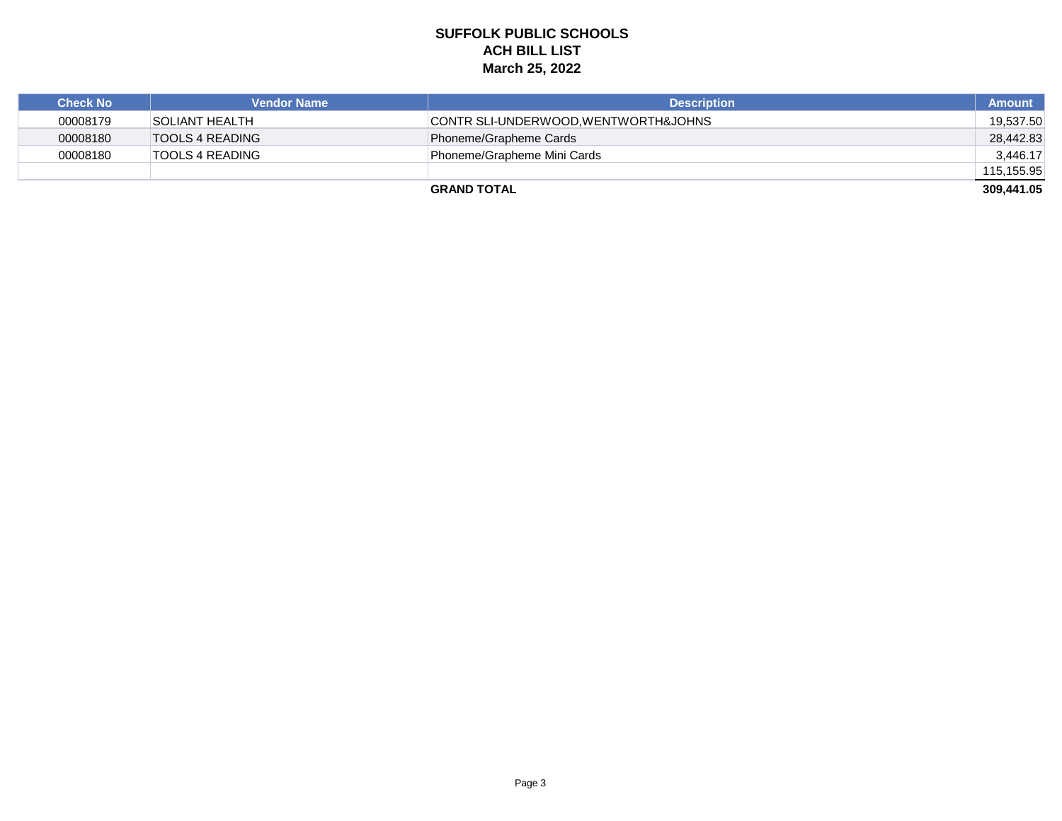| <b>Check No</b> | <b>Vendor Name</b>    | <b>Description</b>                  | <b>Amount</b> |
|-----------------|-----------------------|-------------------------------------|---------------|
| 00008179        | <b>SOLIANT HEALTH</b> | CONTR SLI-UNDERWOOD.WENTWORTH&JOHNS | 19.537.50     |
| 00008180        | TOOLS 4 READING       | Phoneme/Grapheme Cards              | 28,442.83     |
| 00008180        | TOOLS 4 READING       | Phoneme/Grapheme Mini Cards         | 3,446.17      |
|                 |                       |                                     | 115,155.95    |
|                 |                       | <b>GRAND TOTAL</b>                  | 309,441.05    |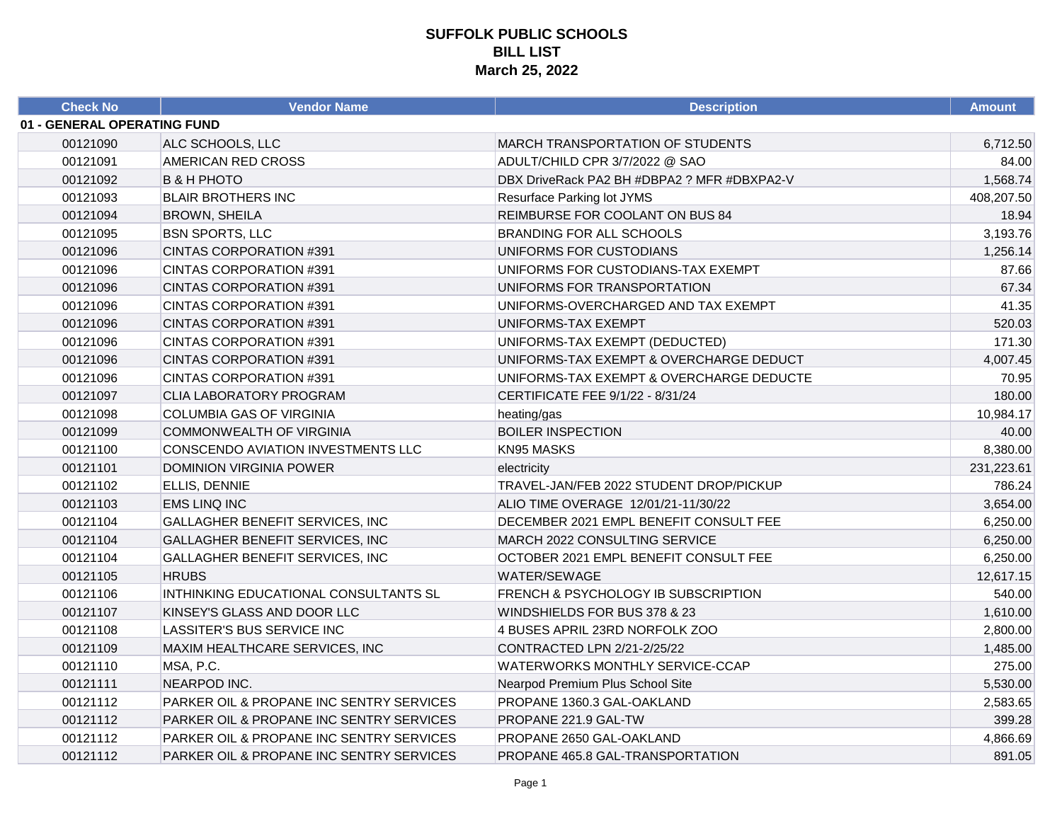| <b>Check No</b>             | <b>Vendor Name</b>                       | <b>Description</b>                          | <b>Amount</b> |
|-----------------------------|------------------------------------------|---------------------------------------------|---------------|
| 01 - GENERAL OPERATING FUND |                                          |                                             |               |
| 00121090                    | ALC SCHOOLS, LLC                         | <b>MARCH TRANSPORTATION OF STUDENTS</b>     | 6,712.50      |
| 00121091                    | AMERICAN RED CROSS                       | ADULT/CHILD CPR 3/7/2022 @ SAO              | 84.00         |
| 00121092                    | <b>B &amp; H PHOTO</b>                   | DBX DriveRack PA2 BH #DBPA2 ? MFR #DBXPA2-V | 1,568.74      |
| 00121093                    | <b>BLAIR BROTHERS INC</b>                | Resurface Parking lot JYMS                  | 408,207.50    |
| 00121094                    | <b>BROWN, SHEILA</b>                     | REIMBURSE FOR COOLANT ON BUS 84             | 18.94         |
| 00121095                    | <b>BSN SPORTS, LLC</b>                   | <b>BRANDING FOR ALL SCHOOLS</b>             | 3,193.76      |
| 00121096                    | CINTAS CORPORATION #391                  | UNIFORMS FOR CUSTODIANS                     | 1,256.14      |
| 00121096                    | CINTAS CORPORATION #391                  | UNIFORMS FOR CUSTODIANS-TAX EXEMPT          | 87.66         |
| 00121096                    | CINTAS CORPORATION #391                  | UNIFORMS FOR TRANSPORTATION                 | 67.34         |
| 00121096                    | <b>CINTAS CORPORATION #391</b>           | UNIFORMS-OVERCHARGED AND TAX EXEMPT         | 41.35         |
| 00121096                    | CINTAS CORPORATION #391                  | UNIFORMS-TAX EXEMPT                         | 520.03        |
| 00121096                    | CINTAS CORPORATION #391                  | UNIFORMS-TAX EXEMPT (DEDUCTED)              | 171.30        |
| 00121096                    | CINTAS CORPORATION #391                  | UNIFORMS-TAX EXEMPT & OVERCHARGE DEDUCT     | 4,007.45      |
| 00121096                    | CINTAS CORPORATION #391                  | UNIFORMS-TAX EXEMPT & OVERCHARGE DEDUCTE    | 70.95         |
| 00121097                    | CLIA LABORATORY PROGRAM                  | CERTIFICATE FEE 9/1/22 - 8/31/24            | 180.00        |
| 00121098                    | COLUMBIA GAS OF VIRGINIA                 | heating/gas                                 | 10,984.17     |
| 00121099                    | COMMONWEALTH OF VIRGINIA                 | <b>BOILER INSPECTION</b>                    | 40.00         |
| 00121100                    | CONSCENDO AVIATION INVESTMENTS LLC       | KN95 MASKS                                  | 8,380.00      |
| 00121101                    | <b>DOMINION VIRGINIA POWER</b>           | electricity                                 | 231,223.61    |
| 00121102                    | ELLIS, DENNIE                            | TRAVEL-JAN/FEB 2022 STUDENT DROP/PICKUP     | 786.24        |
| 00121103                    | <b>EMS LINQ INC</b>                      | ALIO TIME OVERAGE 12/01/21-11/30/22         | 3,654.00      |
| 00121104                    | <b>GALLAGHER BENEFIT SERVICES, INC</b>   | DECEMBER 2021 EMPL BENEFIT CONSULT FEE      | 6,250.00      |
| 00121104                    | <b>GALLAGHER BENEFIT SERVICES, INC</b>   | MARCH 2022 CONSULTING SERVICE               | 6,250.00      |
| 00121104                    | GALLAGHER BENEFIT SERVICES, INC          | OCTOBER 2021 EMPL BENEFIT CONSULT FEE       | 6,250.00      |
| 00121105                    | <b>HRUBS</b>                             | WATER/SEWAGE                                | 12,617.15     |
| 00121106                    | INTHINKING EDUCATIONAL CONSULTANTS SL    | FRENCH & PSYCHOLOGY IB SUBSCRIPTION         | 540.00        |
| 00121107                    | KINSEY'S GLASS AND DOOR LLC              | WINDSHIELDS FOR BUS 378 & 23                | 1,610.00      |
| 00121108                    | LASSITER'S BUS SERVICE INC               | 4 BUSES APRIL 23RD NORFOLK ZOO              | 2,800.00      |
| 00121109                    | MAXIM HEALTHCARE SERVICES, INC           | CONTRACTED LPN 2/21-2/25/22                 | 1,485.00      |
| 00121110                    | MSA, P.C.                                | WATERWORKS MONTHLY SERVICE-CCAP             | 275.00        |
| 00121111                    | NEARPOD INC.                             | Nearpod Premium Plus School Site            | 5,530.00      |
| 00121112                    | PARKER OIL & PROPANE INC SENTRY SERVICES | PROPANE 1360.3 GAL-OAKLAND                  | 2,583.65      |
| 00121112                    | PARKER OIL & PROPANE INC SENTRY SERVICES | PROPANE 221.9 GAL-TW                        | 399.28        |
| 00121112                    | PARKER OIL & PROPANE INC SENTRY SERVICES | PROPANE 2650 GAL-OAKLAND                    | 4,866.69      |
| 00121112                    | PARKER OIL & PROPANE INC SENTRY SERVICES | PROPANE 465.8 GAL-TRANSPORTATION            | 891.05        |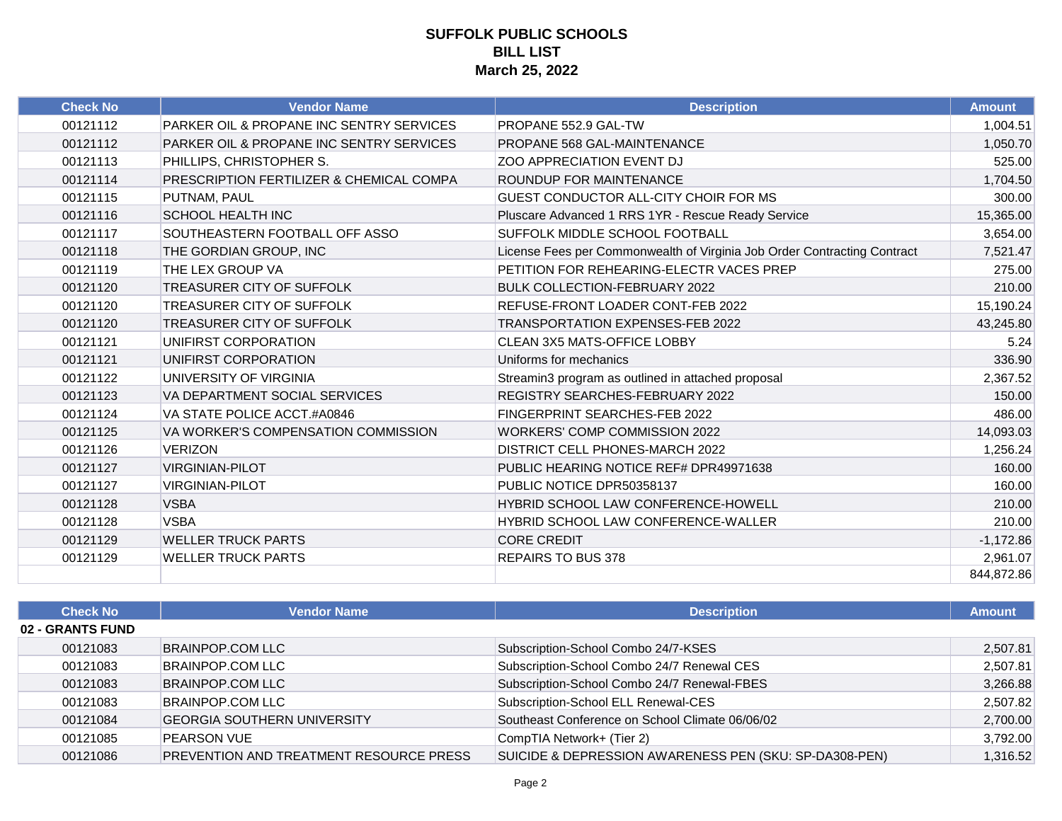| <b>Check No</b> | <b>Vendor Name</b>                                  | <b>Description</b>                                                       | <b>Amount</b> |
|-----------------|-----------------------------------------------------|--------------------------------------------------------------------------|---------------|
| 00121112        | PARKER OIL & PROPANE INC SENTRY SERVICES            | PROPANE 552.9 GAL-TW                                                     | 1,004.51      |
| 00121112        | <b>PARKER OIL &amp; PROPANE INC SENTRY SERVICES</b> | PROPANE 568 GAL-MAINTENANCE                                              | 1,050.70      |
| 00121113        | PHILLIPS, CHRISTOPHER S.                            | <b>ZOO APPRECIATION EVENT DJ</b>                                         | 525.00        |
| 00121114        | PRESCRIPTION FERTILIZER & CHEMICAL COMPA            | ROUNDUP FOR MAINTENANCE                                                  | 1,704.50      |
| 00121115        | PUTNAM, PAUL                                        | <b>GUEST CONDUCTOR ALL-CITY CHOIR FOR MS</b>                             | 300.00        |
| 00121116        | <b>SCHOOL HEALTH INC</b>                            | Pluscare Advanced 1 RRS 1YR - Rescue Ready Service                       | 15,365.00     |
| 00121117        | SOUTHEASTERN FOOTBALL OFF ASSO                      | SUFFOLK MIDDLE SCHOOL FOOTBALL                                           | 3,654.00      |
| 00121118        | THE GORDIAN GROUP, INC                              | License Fees per Commonwealth of Virginia Job Order Contracting Contract | 7,521.47      |
| 00121119        | THE LEX GROUP VA                                    | PETITION FOR REHEARING-ELECTR VACES PREP                                 | 275.00        |
| 00121120        | TREASURER CITY OF SUFFOLK                           | <b>BULK COLLECTION-FEBRUARY 2022</b>                                     | 210.00        |
| 00121120        | TREASURER CITY OF SUFFOLK                           | REFUSE-FRONT LOADER CONT-FEB 2022                                        | 15,190.24     |
| 00121120        | TREASURER CITY OF SUFFOLK                           | <b>TRANSPORTATION EXPENSES-FEB 2022</b>                                  | 43,245.80     |
| 00121121        | UNIFIRST CORPORATION                                | <b>CLEAN 3X5 MATS-OFFICE LOBBY</b>                                       | 5.24          |
| 00121121        | UNIFIRST CORPORATION                                | Uniforms for mechanics                                                   | 336.90        |
| 00121122        | UNIVERSITY OF VIRGINIA                              | Streamin3 program as outlined in attached proposal                       | 2,367.52      |
| 00121123        | VA DEPARTMENT SOCIAL SERVICES                       | <b>REGISTRY SEARCHES-FEBRUARY 2022</b>                                   | 150.00        |
| 00121124        | VA STATE POLICE ACCT.#A0846                         | FINGERPRINT SEARCHES-FEB 2022                                            | 486.00        |
| 00121125        | VA WORKER'S COMPENSATION COMMISSION                 | <b>WORKERS' COMP COMMISSION 2022</b>                                     | 14,093.03     |
| 00121126        | <b>VERIZON</b>                                      | DISTRICT CELL PHONES-MARCH 2022                                          | 1,256.24      |
| 00121127        | <b>VIRGINIAN-PILOT</b>                              | PUBLIC HEARING NOTICE REF# DPR49971638                                   | 160.00        |
| 00121127        | <b>VIRGINIAN-PILOT</b>                              | PUBLIC NOTICE DPR50358137                                                | 160.00        |
| 00121128        | <b>VSBA</b>                                         | <b>HYBRID SCHOOL LAW CONFERENCE-HOWELL</b>                               | 210.00        |
| 00121128        | <b>VSBA</b>                                         | <b>HYBRID SCHOOL LAW CONFERENCE-WALLER</b>                               | 210.00        |
| 00121129        | <b>WELLER TRUCK PARTS</b>                           | <b>CORE CREDIT</b>                                                       | $-1,172.86$   |
| 00121129        | <b>WELLER TRUCK PARTS</b>                           | <b>REPAIRS TO BUS 378</b>                                                | 2,961.07      |
|                 |                                                     |                                                                          | 844.872.86    |

| <b>Check No</b>         | <b>Vendor Name</b>                             | <b>Description</b>                                     | <b>Amount</b> |
|-------------------------|------------------------------------------------|--------------------------------------------------------|---------------|
| <b>02 - GRANTS FUND</b> |                                                |                                                        |               |
| 00121083                | <b>BRAINPOP.COM LLC</b>                        | Subscription-School Combo 24/7-KSES                    | 2,507.81      |
| 00121083                | BRAINPOP.COM LLC                               | Subscription-School Combo 24/7 Renewal CES             | 2,507.81      |
| 00121083                | <b>BRAINPOP.COM LLC</b>                        | Subscription-School Combo 24/7 Renewal-FBES            | 3,266.88      |
| 00121083                | <b>BRAINPOP.COM LLC</b>                        | Subscription-School ELL Renewal-CES                    | 2,507.82      |
| 00121084                | <b>GEORGIA SOUTHERN UNIVERSITY</b>             | Southeast Conference on School Climate 06/06/02        | 2,700.00      |
| 00121085                | <b>PEARSON VUE</b>                             | CompTIA Network+ (Tier 2)                              | 3,792.00      |
| 00121086                | <b>PREVENTION AND TREATMENT RESOURCE PRESS</b> | SUICIDE & DEPRESSION AWARENESS PEN (SKU: SP-DA308-PEN) | 1,316.52      |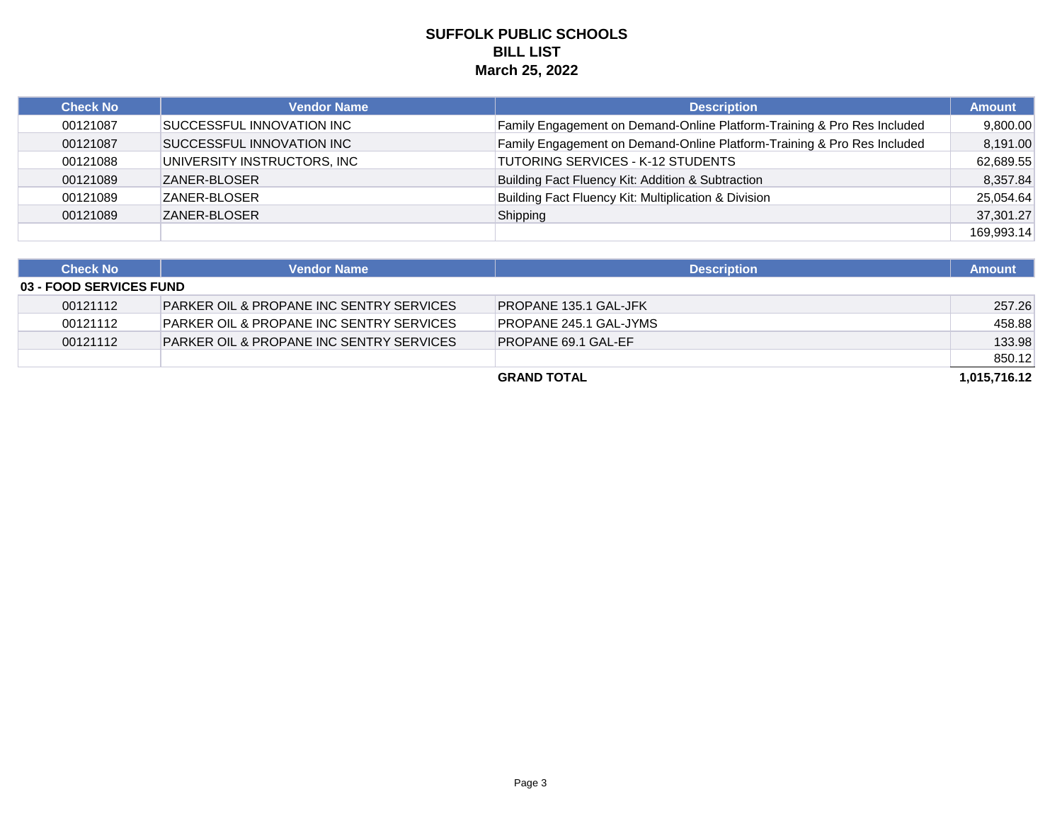| <b>Check No</b> | <b>Vendor Name</b>          | <b>Description</b>                                                      | <b>Amount</b> |
|-----------------|-----------------------------|-------------------------------------------------------------------------|---------------|
| 00121087        | SUCCESSFUL INNOVATION INC   | Family Engagement on Demand-Online Platform-Training & Pro Res Included | 9.800.00      |
| 00121087        | SUCCESSFUL INNOVATION INC   | Family Engagement on Demand-Online Platform-Training & Pro Res Included | 8,191.00      |
| 00121088        | UNIVERSITY INSTRUCTORS, INC | <b>TUTORING SERVICES - K-12 STUDENTS</b>                                | 62,689.55     |
| 00121089        | <b>ZANER-BLOSER</b>         | Building Fact Fluency Kit: Addition & Subtraction                       | 8,357.84      |
| 00121089        | ZANER-BLOSER                | Building Fact Fluency Kit: Multiplication & Division                    | 25,054.64     |
| 00121089        | <b>ZANER-BLOSER</b>         | Shipping                                                                | 37,301.27     |
|                 |                             |                                                                         | 169.993.14    |

| <b>Check No</b>                | <b>Vendor Name</b>                                  | <b>Description</b>         | <b>Amount</b> |
|--------------------------------|-----------------------------------------------------|----------------------------|---------------|
| <b>03 - FOOD SERVICES FUND</b> |                                                     |                            |               |
| 00121112                       | PARKER OIL & PROPANE INC SENTRY SERVICES            | PROPANE 135.1 GAL-JFK      | 257.26        |
| 00121112                       | <b>PARKER OIL &amp; PROPANE INC SENTRY SERVICES</b> | PROPANE 245.1 GAL-JYMS     | 458.88        |
| 00121112                       | <b>PARKER OIL &amp; PROPANE INC SENTRY SERVICES</b> | <b>PROPANE 69.1 GAL-EF</b> | 133.98        |
|                                |                                                     |                            | 850.12        |
|                                |                                                     | <b>GRAND TOTAL</b>         | 1.015.716.12  |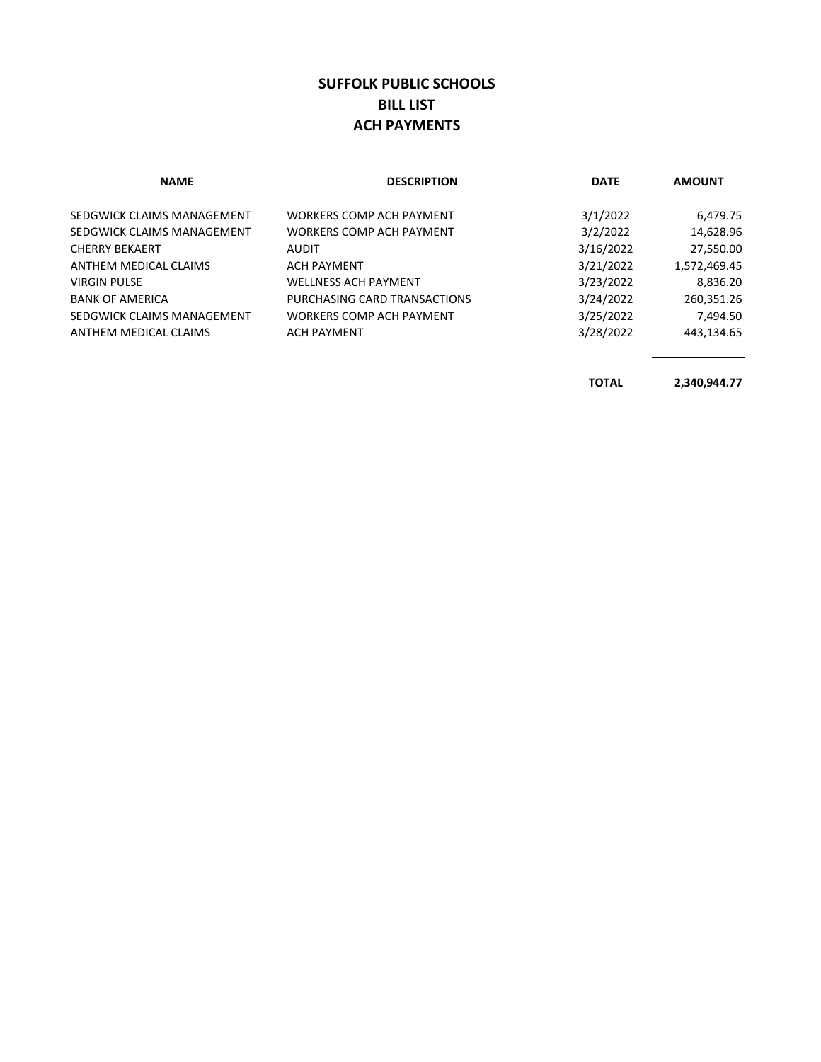### **SUFFOLK PUBLIC SCHOOLS BILL LIST ACH PAYMENTS**

| <b>NAME</b>                | <b>DESCRIPTION</b>           | <b>DATE</b> | <b>AMOUNT</b> |
|----------------------------|------------------------------|-------------|---------------|
| SEDGWICK CLAIMS MANAGEMENT | WORKERS COMP ACH PAYMENT     | 3/1/2022    | 6,479.75      |
| SEDGWICK CLAIMS MANAGEMENT | WORKERS COMP ACH PAYMENT     | 3/2/2022    | 14,628.96     |
| <b>CHERRY BEKAERT</b>      | <b>AUDIT</b>                 | 3/16/2022   | 27,550.00     |
| ANTHEM MEDICAL CLAIMS      | <b>ACH PAYMENT</b>           | 3/21/2022   | 1,572,469.45  |
| <b>VIRGIN PULSE</b>        | <b>WELLNESS ACH PAYMENT</b>  | 3/23/2022   | 8,836.20      |
| <b>BANK OF AMERICA</b>     | PURCHASING CARD TRANSACTIONS | 3/24/2022   | 260,351.26    |
| SEDGWICK CLAIMS MANAGEMENT | WORKERS COMP ACH PAYMENT     | 3/25/2022   | 7.494.50      |
| ANTHEM MEDICAL CLAIMS      | <b>ACH PAYMENT</b>           | 3/28/2022   | 443,134.65    |

**TOTAL 2,340,944.77**